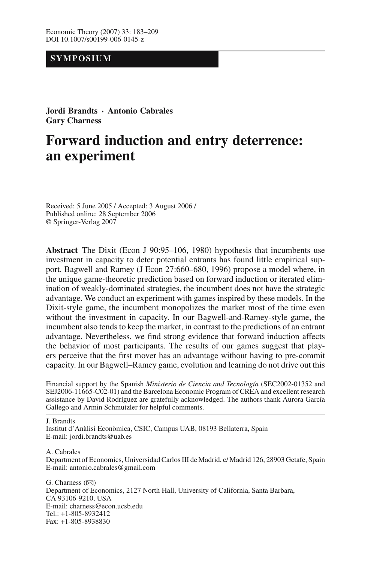## **SYMPOSIUM**

**Jordi Brandts · Antonio Cabrales Gary Charness**

# **Forward induction and entry deterrence: an experiment**

Received: 5 June 2005 / Accepted: 3 August 2006 / Published online: 28 September 2006 © Springer-Verlag 2007

**Abstract** The Dixit (Econ J 90:95–106, 1980) hypothesis that incumbents use investment in capacity to deter potential entrants has found little empirical support. Bagwell and Ramey (J Econ 27:660–680, 1996) propose a model where, in the unique game-theoretic prediction based on forward induction or iterated elimination of weakly-dominated strategies, the incumbent does not have the strategic advantage. We conduct an experiment with games inspired by these models. In the Dixit-style game, the incumbent monopolizes the market most of the time even without the investment in capacity. In our Bagwell-and-Ramey-style game, the incumbent also tends to keep the market, in contrast to the predictions of an entrant advantage. Nevertheless, we find strong evidence that forward induction affects the behavior of most participants. The results of our games suggest that players perceive that the first mover has an advantage without having to pre-commit capacity. In our Bagwell–Ramey game, evolution and learning do not drive out this

Financial support by the Spanish *Ministerio de Ciencia and Tecnología* (SEC2002-01352 and SEJ2006-11665-C02-01) and the Barcelona Economic Program of CREA and excellent research assistance by David Rodríguez are gratefully acknowledged. The authors thank Aurora García Gallego and Armin Schmutzler for helpful comments.

J. Brandts

Institut d'Anàlisi Econòmica, CSIC, Campus UAB, 08193 Bellaterra, Spain E-mail: jordi.brandts@uab.es

A. Cabrales

Department of Economics, Universidad Carlos III de Madrid, c/ Madrid 126, 28903 Getafe, Spain E-mail: antonio.cabrales@gmail.com

G. Charness  $(\boxtimes)$ Department of Economics, 2127 North Hall, University of California, Santa Barbara, CA 93106-9210, USA E-mail: charness@econ.ucsb.edu Tel.: +1-805-8932412 Fax: +1-805-8938830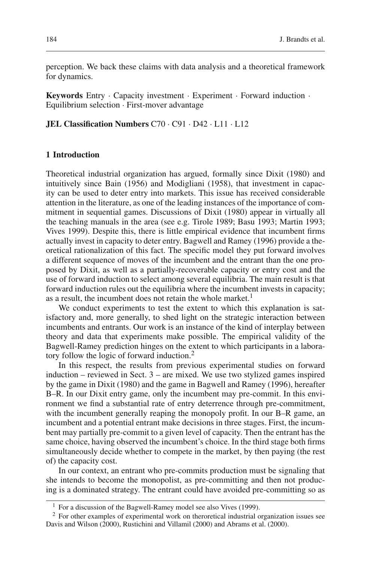perception. We back these claims with data analysis and a theoretical framework for dynamics.

**Keywords** Entry · Capacity investment · Experiment · Forward induction · Equilibrium selection · First-mover advantage

## **JEL Classification Numbers** C70 · C91 · D42 · L11 · L12

## **1 Introduction**

Theoretical industrial organization has argued, formally since Dixit (1980) and intuitively since Bain (1956) and Modigliani (1958), that investment in capacity can be used to deter entry into markets. This issue has received considerable attention in the literature, as one of the leading instances of the importance of commitment in sequential games. Discussions of Dixit (1980) appear in virtually all the teaching manuals in the area (see e.g. Tirole 1989; Basu 1993; Martin 1993; Vives 1999). Despite this, there is little empirical evidence that incumbent firms actually invest in capacity to deter entry. Bagwell and Ramey (1996) provide a theoretical rationalization of this fact. The specific model they put forward involves a different sequence of moves of the incumbent and the entrant than the one proposed by Dixit, as well as a partially-recoverable capacity or entry cost and the use of forward induction to select among several equilibria. The main result is that forward induction rules out the equilibria where the incumbent invests in capacity; as a result, the incumbent does not retain the whole market.<sup>1</sup>

We conduct experiments to test the extent to which this explanation is satisfactory and, more generally, to shed light on the strategic interaction between incumbents and entrants. Our work is an instance of the kind of interplay between theory and data that experiments make possible. The empirical validity of the Bagwell-Ramey prediction hinges on the extent to which participants in a laboratory follow the logic of forward induction.<sup>2</sup>

In this respect, the results from previous experimental studies on forward induction – reviewed in Sect. 3 – are mixed. We use two stylized games inspired by the game in Dixit (1980) and the game in Bagwell and Ramey (1996), hereafter B–R. In our Dixit entry game, only the incumbent may pre-commit. In this environment we find a substantial rate of entry deterrence through pre-commitment, with the incumbent generally reaping the monopoly profit. In our B–R game, an incumbent and a potential entrant make decisions in three stages. First, the incumbent may partially pre-commit to a given level of capacity. Then the entrant has the same choice, having observed the incumbent's choice. In the third stage both firms simultaneously decide whether to compete in the market, by then paying (the rest of) the capacity cost.

In our context, an entrant who pre-commits production must be signaling that she intends to become the monopolist, as pre-committing and then not producing is a dominated strategy. The entrant could have avoided pre-committing so as

 $1$  For a discussion of the Bagwell-Ramey model see also Vives (1999).

<sup>&</sup>lt;sup>2</sup> For other examples of experimental work on theroretical industrial organization issues see Davis and Wilson (2000), Rustichini and Villamil (2000) and Abrams et al. (2000).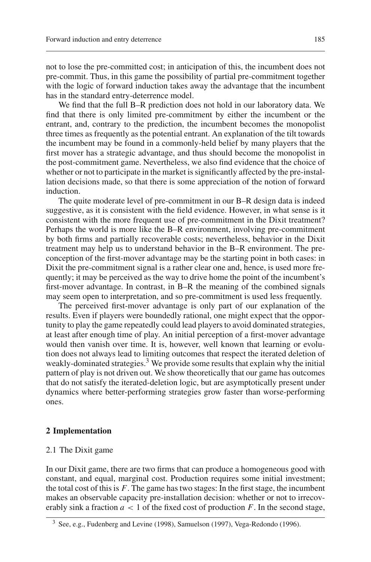not to lose the pre-committed cost; in anticipation of this, the incumbent does not pre-commit. Thus, in this game the possibility of partial pre-commitment together with the logic of forward induction takes away the advantage that the incumbent has in the standard entry-deterrence model.

We find that the full B–R prediction does not hold in our laboratory data. We find that there is only limited pre-commitment by either the incumbent or the entrant, and, contrary to the prediction, the incumbent becomes the monopolist three times as frequently as the potential entrant. An explanation of the tilt towards the incumbent may be found in a commonly-held belief by many players that the first mover has a strategic advantage, and thus should become the monopolist in the post-commitment game. Nevertheless, we also find evidence that the choice of whether or not to participate in the market is significantly affected by the pre-installation decisions made, so that there is some appreciation of the notion of forward induction.

The quite moderate level of pre-commitment in our B–R design data is indeed suggestive, as it is consistent with the field evidence. However, in what sense is it consistent with the more frequent use of pre-commitment in the Dixit treatment? Perhaps the world is more like the B–R environment, involving pre-commitment by both firms and partially recoverable costs; nevertheless, behavior in the Dixit treatment may help us to understand behavior in the B–R environment. The preconception of the first-mover advantage may be the starting point in both cases: in Dixit the pre-commitment signal is a rather clear one and, hence, is used more frequently; it may be perceived as the way to drive home the point of the incumbent's first-mover advantage. In contrast, in B–R the meaning of the combined signals may seem open to interpretation, and so pre-commitment is used less frequently.

The perceived first-mover advantage is only part of our explanation of the results. Even if players were boundedly rational, one might expect that the opportunity to play the game repeatedly could lead players to avoid dominated strategies, at least after enough time of play. An initial perception of a first-mover advantage would then vanish over time. It is, however, well known that learning or evolution does not always lead to limiting outcomes that respect the iterated deletion of weakly-dominated strategies.<sup>3</sup> We provide some results that explain why the initial pattern of play is not driven out. We show theoretically that our game has outcomes that do not satisfy the iterated-deletion logic, but are asymptotically present under dynamics where better-performing strategies grow faster than worse-performing ones.

#### **2 Implementation**

## 2.1 The Dixit game

In our Dixit game, there are two firms that can produce a homogeneous good with constant, and equal, marginal cost. Production requires some initial investment; the total cost of this is  $F$ . The game has two stages: In the first stage, the incumbent makes an observable capacity pre-installation decision: whether or not to irrecoverably sink a fraction  $a < 1$  of the fixed cost of production  $F$ . In the second stage,

<sup>3</sup> See, e.g., Fudenberg and Levine (1998), Samuelson (1997), Vega-Redondo (1996).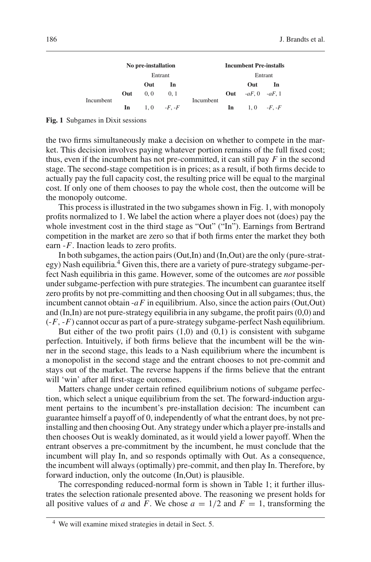|           |     | No pre-installation |          |           |     | <b>Incumbent Pre-installs</b> |                |
|-----------|-----|---------------------|----------|-----------|-----|-------------------------------|----------------|
|           |     |                     | Entrant  |           |     |                               | Entrant        |
|           |     | Out                 | In       |           |     | Out                           | In             |
|           | Out | 0, 0                | 0.1      |           | Out | $-aF, 0$ $-aF, 1$             |                |
| Incumbent |     |                     |          | Incumbent |     |                               |                |
|           | In  | 1.0                 | $-F.$ -F |           | In  |                               | $1.0 \t F. -F$ |

**Fig. 1** Subgames in Dixit sessions

the two firms simultaneously make a decision on whether to compete in the market. This decision involves paying whatever portion remains of the full fixed cost; thus, even if the incumbent has not pre-committed, it can still pay *F* in the second stage. The second-stage competition is in prices; as a result, if both firms decide to actually pay the full capacity cost, the resulting price will be equal to the marginal cost. If only one of them chooses to pay the whole cost, then the outcome will be the monopoly outcome.

This process is illustrated in the two subgames shown in Fig. 1, with monopoly profits normalized to 1. We label the action where a player does not (does) pay the whole investment cost in the third stage as "Out" ("In"). Earnings from Bertrand competition in the market are zero so that if both firms enter the market they both earn -*F*. Inaction leads to zero profits.

In both subgames, the action pairs (Out,In) and (In,Out) are the only (pure-strategy) Nash equilibria.<sup>4</sup> Given this, there are a variety of pure-strategy subgame-perfect Nash equilibria in this game. However, some of the outcomes are *not* possible under subgame-perfection with pure strategies. The incumbent can guarantee itself zero profits by not pre-committing and then choosing Out in all subgames; thus, the incumbent cannot obtain  $-aF$  in equilibrium. Also, since the action pairs (Out,Out) and (In,In) are not pure-strategy equilibria in any subgame, the profit pairs (0,0) and (-*F*, -*F*) cannot occur as part of a pure-strategy subgame-perfect Nash equilibrium.

But either of the two profit pairs  $(1,0)$  and  $(0,1)$  is consistent with subgame perfection. Intuitively, if both firms believe that the incumbent will be the winner in the second stage, this leads to a Nash equilibrium where the incumbent is a monopolist in the second stage and the entrant chooses to not pre-commit and stays out of the market. The reverse happens if the firms believe that the entrant will 'win' after all first-stage outcomes.

Matters change under certain refined equilibrium notions of subgame perfection, which select a unique equilibrium from the set. The forward-induction argument pertains to the incumbent's pre-installation decision: The incumbent can guarantee himself a payoff of 0, independently of what the entrant does, by not preinstalling and then choosing Out. Any strategy under which a player pre-installs and then chooses Out is weakly dominated, as it would yield a lower payoff. When the entrant observes a pre-commitment by the incumbent, he must conclude that the incumbent will play In, and so responds optimally with Out. As a consequence, the incumbent will always (optimally) pre-commit, and then play In. Therefore, by forward induction, only the outcome (In,Out) is plausible.

The corresponding reduced-normal form is shown in Table 1; it further illustrates the selection rationale presented above. The reasoning we present holds for all positive values of *a* and *F*. We chose  $a = 1/2$  and  $F = 1$ , transforming the

<sup>4</sup> We will examine mixed strategies in detail in Sect. 5.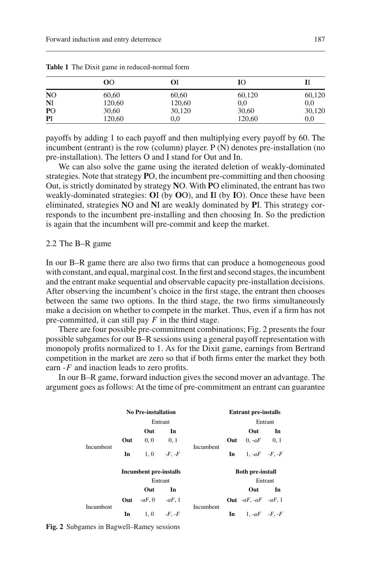|                | 00     | OI     | ю      |        |
|----------------|--------|--------|--------|--------|
| N <sub>O</sub> | 60,60  | 60,60  | 60,120 | 60,120 |
| NI             | 120,60 | 120,60 | 0,0    | 0,0    |
| PO             | 30,60  | 30,120 | 30,60  | 30,120 |
| PI             | 120.60 | 0.0    | 120,60 | 0,0    |

**Table 1** The Dixit game in reduced-normal form

payoffs by adding 1 to each payoff and then multiplying every payoff by 60. The incumbent (entrant) is the row (column) player. P (N) denotes pre-installation (no pre-installation). The letters O and I stand for Out and In.

We can also solve the game using the iterated deletion of weakly-dominated strategies. Note that strategy **P**O, the incumbent pre-committing and then choosing Out, is strictly dominated by strategy **N**O. With **P**O eliminated, the entrant has two weakly-dominated strategies: **O**I (by **O**O), and **I**I (by **I**O). Once these have been eliminated, strategies **N**O and **N**I are weakly dominated by **P**I. This strategy corresponds to the incumbent pre-installing and then choosing In. So the prediction is again that the incumbent will pre-commit and keep the market.

#### 2.2 The B–R game

In our B–R game there are also two firms that can produce a homogeneous good with constant, and equal, marginal cost. In the first and second stages, the incumbent and the entrant make sequential and observable capacity pre-installation decisions. After observing the incumbent's choice in the first stage, the entrant then chooses between the same two options. In the third stage, the two firms simultaneously make a decision on whether to compete in the market. Thus, even if a firm has not pre-committed, it can still pay *F* in the third stage.

There are four possible pre-commitment combinations; Fig. 2 presents the four possible subgames for our B–R sessions using a general payoff representation with monopoly profits normalized to 1. As for the Dixit game, earnings from Bertrand competition in the market are zero so that if both firms enter the market they both earn -*F* and inaction leads to zero profits.

In our B–R game, forward induction gives the second mover an advantage. The argument goes as follows: At the time of pre-commitment an entrant can guarantee

|           |     | <b>No Pre-installation</b>    |                     |           |      | <b>Entrant pre-installs</b> |         |
|-----------|-----|-------------------------------|---------------------|-----------|------|-----------------------------|---------|
|           |     |                               | Entrant             |           |      |                             | Entrant |
|           |     | Out                           | In                  |           |      | Out                         | In      |
|           | Out | $0, 0 \qquad 0, 1$            |                     |           |      | <b>Out</b> $0, -aF$         | 0, 1    |
| Incumbent | In  |                               | $1, 0 \quad -F, -F$ | Incumbent | In 1 | 1, $-aF - F$ , $-F$         |         |
|           |     | <b>Incumbent pre-installs</b> |                     |           |      | <b>Both pre-install</b>     |         |
|           |     |                               | Entrant             |           |      |                             | Entrant |
|           |     | Out                           | In                  |           |      | Out                         | In      |
|           | Out | $-aF$ , 0 $-aF$ , 1           |                     |           |      | Out $-aF$ , $-aF$ $-aF$ , 1 |         |
| Incumbent | In  |                               | $1, 0 \quad -F, -F$ | Incumbent | In   | 1, $-aF - F$ , $-F$         |         |

**Fig. 2** Subgames in Bagwell–Ramey sessions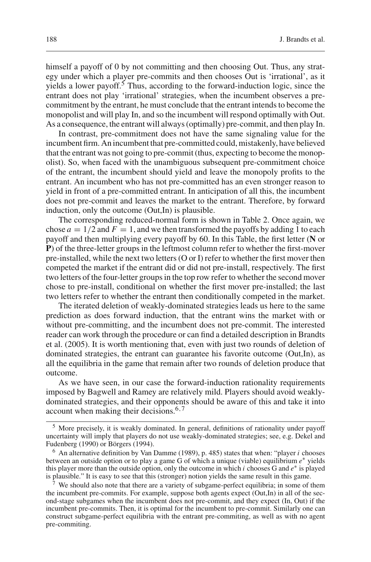himself a payoff of 0 by not committing and then choosing Out. Thus, any strategy under which a player pre-commits and then chooses Out is 'irrational', as it yields a lower payoff.<sup>5</sup> Thus, according to the forward-induction logic, since the entrant does not play 'irrational' strategies, when the incumbent observes a precommitment by the entrant, he must conclude that the entrant intends to become the monopolist and will play In, and so the incumbent will respond optimally with Out. As a consequence, the entrant will always (optimally) pre-commit, and then play In.

In contrast, pre-commitment does not have the same signaling value for the incumbent firm. An incumbent that pre-committed could, mistakenly, have believed that the entrant was not going to pre-commit (thus, expecting to become the monopolist). So, when faced with the unambiguous subsequent pre-commitment choice of the entrant, the incumbent should yield and leave the monopoly profits to the entrant. An incumbent who has not pre-committed has an even stronger reason to yield in front of a pre-committed entrant. In anticipation of all this, the incumbent does not pre-commit and leaves the market to the entrant. Therefore, by forward induction, only the outcome (Out,In) is plausible.

The corresponding reduced-normal form is shown in Table 2. Once again, we chose  $a = 1/2$  and  $F = 1$ , and we then transformed the payoffs by adding 1 to each payoff and then multiplying every payoff by 60. In this Table, the first letter (**N** or **P**) of the three-letter groups in the leftmost column refer to whether the first-mover pre-installed, while the next two letters (O or I) refer to whether the first mover then competed the market if the entrant did or did not pre-install, respectively. The first two letters of the four-letter groups in the top row refer to whether the second mover chose to pre-install, conditional on whether the first mover pre-installed; the last two letters refer to whether the entrant then conditionally competed in the market.

The iterated deletion of weakly-dominated strategies leads us here to the same prediction as does forward induction, that the entrant wins the market with or without pre-committing, and the incumbent does not pre-commit. The interested reader can work through the procedure or can find a detailed description in Brandts et al. (2005). It is worth mentioning that, even with just two rounds of deletion of dominated strategies, the entrant can guarantee his favorite outcome (Out,In), as all the equilibria in the game that remain after two rounds of deletion produce that outcome.

As we have seen, in our case the forward-induction rationality requirements imposed by Bagwell and Ramey are relatively mild. Players should avoid weaklydominated strategies, and their opponents should be aware of this and take it into account when making their decisions.<sup>6,7</sup>

<sup>5</sup> More precisely, it is weakly dominated. In general, definitions of rationality under payoff uncertainty will imply that players do not use weakly-dominated strategies; see, e.g. Dekel and Fudenberg (1990) or Börgers (1994).

<sup>6</sup> An alternative definition by Van Damme (1989), p. 485) states that when: "player *i* chooses between an outside option or to play a game G of which a unique (viable) equilibrium *e*<sup>∗</sup> yields this player more than the outside option, only the outcome in which *i* chooses G and *e*<sup>∗</sup> is played is plausible." It is easy to see that this (stronger) notion yields the same result in this game.

 $\bar{7}$  We should also note that there are a variety of subgame-perfect equilibria; in some of them the incumbent pre-commits. For example, suppose both agents expect (Out,In) in all of the second-stage subgames when the incumbent does not pre-commit, and they expect (In, Out) if the incumbent pre-commits. Then, it is optimal for the incumbent to pre-commit. Similarly one can construct subgame-perfect equilibria with the entrant pre-commiting, as well as with no agent pre-commiting.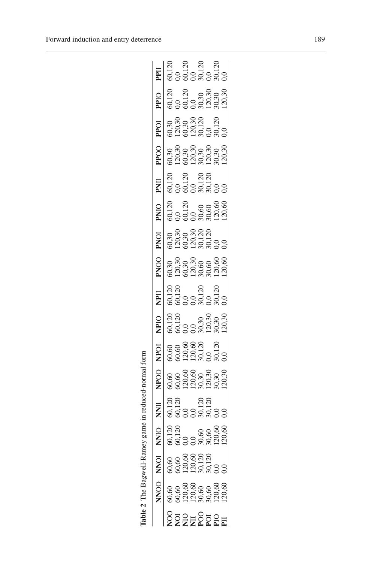|               | lable 2 The Bagwell-Ramey go                                                                                         |                                              |                                            | ame in reduced-normal form                                     |                                                        |                                                                    |                                                                                 |                                                                 |                                                                           |                                                          |                                          |                                                             |                                                                  |                                                     |
|---------------|----------------------------------------------------------------------------------------------------------------------|----------------------------------------------|--------------------------------------------|----------------------------------------------------------------|--------------------------------------------------------|--------------------------------------------------------------------|---------------------------------------------------------------------------------|-----------------------------------------------------------------|---------------------------------------------------------------------------|----------------------------------------------------------|------------------------------------------|-------------------------------------------------------------|------------------------------------------------------------------|-----------------------------------------------------|
|               | <b>OONN</b>                                                                                                          | <b>OINN</b>                                  | <b>TINIT</b>                               | $\frac{1}{2}$                                                  | NPOI                                                   | <b>OIdN</b>                                                        |                                                                                 | $\frac{1}{2}$                                                   | $\sum_{i=1}^{n}$                                                          | ENL                                                      | 500                                      | PPOI                                                        | DIdd                                                             | PPII                                                |
|               |                                                                                                                      | <u>ន</u><br>ន                                |                                            |                                                                |                                                        |                                                                    | $\frac{\text{NPL}}{\text{60,120}}$<br>60,120<br>60,00,00,00,00<br>0,00,00,00,00 |                                                                 |                                                                           | 60,120<br>0.0 120<br>0.0 30,120<br>0.0 30,120<br>0.0 0.0 |                                          |                                                             |                                                                  |                                                     |
|               |                                                                                                                      |                                              |                                            |                                                                |                                                        |                                                                    |                                                                                 |                                                                 |                                                                           |                                                          |                                          |                                                             |                                                                  |                                                     |
|               |                                                                                                                      |                                              |                                            |                                                                |                                                        |                                                                    |                                                                                 |                                                                 |                                                                           |                                                          |                                          |                                                             |                                                                  |                                                     |
|               |                                                                                                                      |                                              |                                            |                                                                |                                                        |                                                                    |                                                                                 |                                                                 |                                                                           |                                                          |                                          |                                                             |                                                                  |                                                     |
|               |                                                                                                                      | 2012<br>2012<br>2012<br>2012<br>2012<br>2012 | 80.120<br>60.120<br>60.30.120<br>60.30.120 | 60,60<br>60,60<br>120,60<br>120,30<br>30,30<br>30,30<br>120,30 | 60,60<br>60,60<br>120,60<br>30,120<br>30,120<br>30,120 |                                                                    |                                                                                 |                                                                 |                                                                           |                                                          | 9039<br>003030<br>00303030<br>0030303030 | 60,30<br>120,30<br>120,30<br>120,30,120<br>30,120<br>30,120 |                                                                  |                                                     |
|               |                                                                                                                      |                                              |                                            |                                                                |                                                        |                                                                    |                                                                                 |                                                                 |                                                                           |                                                          |                                          |                                                             |                                                                  |                                                     |
|               |                                                                                                                      |                                              |                                            |                                                                |                                                        |                                                                    |                                                                                 |                                                                 |                                                                           |                                                          |                                          |                                                             |                                                                  |                                                     |
| o<br>2호 보호 호텔 | $\begin{array}{l} 60,60 \\ 60,60 \\ 120,60 \\ 120,60 \\ 30,60 \\ 30,60 \\ 120,60 \\ 120,60 \\ 120,60 \\ \end{array}$ |                                              |                                            |                                                                |                                                        | 60,120<br>60,120<br>0,0<br>30,30,30,30<br>30,30,30,30<br>120,30,30 |                                                                                 | 50,30<br>120,30<br>120,30<br>120,60<br>30,60<br>30,60<br>120,60 | 60,120<br>0,0<br>00,120<br>00,000<br>30,600<br>30,600<br>120,60<br>120,60 |                                                          |                                          |                                                             | 60,120<br>0,0<br>00,120<br>0,30,30<br>120,30<br>120,30<br>120,30 | 00,120<br>00,120<br>00,120<br>00,00,120<br>00,00,00 |
|               |                                                                                                                      |                                              |                                            |                                                                |                                                        |                                                                    |                                                                                 |                                                                 |                                                                           |                                                          |                                          |                                                             |                                                                  |                                                     |

| ł<br>ı<br>$\frac{1}{2}$<br>۱<br>$\ddot{\phantom{0}}$                |
|---------------------------------------------------------------------|
| $\cdots$ can concrete the set<br>í<br>i                             |
| <b>Continued in the Continued State</b><br>Ī<br>l<br>$\overline{a}$ |
| ֧֦֦֧֦֧֦֧֦֧֦֧֦֧֦֧֦֧֦֧֦֧֦֧֦֧֧֦֧֧֦֧֚֚֚֚֚֝֝֜֜֜֜֜֜֞֓                     |
|                                                                     |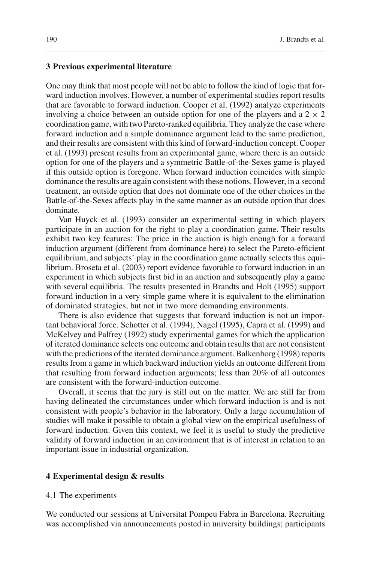## **3 Previous experimental literature**

One may think that most people will not be able to follow the kind of logic that forward induction involves. However, a number of experimental studies report results that are favorable to forward induction. Cooper et al. (1992) analyze experiments involving a choice between an outside option for one of the players and a  $2 \times 2$ coordination game, with two Pareto-ranked equilibria. They analyze the case where forward induction and a simple dominance argument lead to the same prediction, and their results are consistent with this kind of forward-induction concept. Cooper et al. (1993) present results from an experimental game, where there is an outside option for one of the players and a symmetric Battle-of-the-Sexes game is played if this outside option is foregone. When forward induction coincides with simple dominance the results are again consistent with these notions. However, in a second treatment, an outside option that does not dominate one of the other choices in the Battle-of-the-Sexes affects play in the same manner as an outside option that does dominate.

Van Huyck et al. (1993) consider an experimental setting in which players participate in an auction for the right to play a coordination game. Their results exhibit two key features: The price in the auction is high enough for a forward induction argument (different from dominance here) to select the Pareto-efficient equilibrium, and subjects' play in the coordination game actually selects this equilibrium. Broseta et al. (2003) report evidence favorable to forward induction in an experiment in which subjects first bid in an auction and subsequently play a game with several equilibria. The results presented in Brandts and Holt (1995) support forward induction in a very simple game where it is equivalent to the elimination of dominated strategies, but not in two more demanding environments.

There is also evidence that suggests that forward induction is not an important behavioral force. Schotter et al. (1994), Nagel (1995), Capra et al. (1999) and McKelvey and Palfrey (1992) study experimental games for which the application of iterated dominance selects one outcome and obtain results that are not consistent with the predictions of the iterated dominance argument. Balkenborg (1998) reports results from a game in which backward induction yields an outcome different from that resulting from forward induction arguments; less than 20% of all outcomes are consistent with the forward-induction outcome.

Overall, it seems that the jury is still out on the matter. We are still far from having delineated the circumstances under which forward induction is and is not consistent with people's behavior in the laboratory. Only a large accumulation of studies will make it possible to obtain a global view on the empirical usefulness of forward induction. Given this context, we feel it is useful to study the predictive validity of forward induction in an environment that is of interest in relation to an important issue in industrial organization.

## **4 Experimental design & results**

## 4.1 The experiments

We conducted our sessions at Universitat Pompeu Fabra in Barcelona. Recruiting was accomplished via announcements posted in university buildings; participants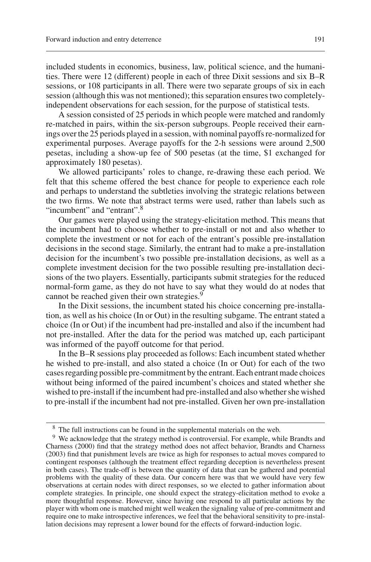included students in economics, business, law, political science, and the humanities. There were 12 (different) people in each of three Dixit sessions and six B–R sessions, or 108 participants in all. There were two separate groups of six in each session (although this was not mentioned); this separation ensures two completelyindependent observations for each session, for the purpose of statistical tests.

A session consisted of 25 periods in which people were matched and randomly re-matched in pairs, within the six-person subgroups. People received their earnings over the 25 periods played in a session, with nominal payoffs re-normalized for experimental purposes. Average payoffs for the 2-h sessions were around 2,500 pesetas, including a show-up fee of 500 pesetas (at the time, \$1 exchanged for approximately 180 pesetas).

We allowed participants' roles to change, re-drawing these each period. We felt that this scheme offered the best chance for people to experience each role and perhaps to understand the subtleties involving the strategic relations between the two firms. We note that abstract terms were used, rather than labels such as "incumbent" and "entrant". <sup>8</sup>

Our games were played using the strategy-elicitation method. This means that the incumbent had to choose whether to pre-install or not and also whether to complete the investment or not for each of the entrant's possible pre-installation decisions in the second stage. Similarly, the entrant had to make a pre-installation decision for the incumbent's two possible pre-installation decisions, as well as a complete investment decision for the two possible resulting pre-installation decisions of the two players. Essentially, participants submit strategies for the reduced normal-form game, as they do not have to say what they would do at nodes that cannot be reached given their own strategies.<sup>9</sup>

In the Dixit sessions, the incumbent stated his choice concerning pre-installation, as well as his choice (In or Out) in the resulting subgame. The entrant stated a choice (In or Out) if the incumbent had pre-installed and also if the incumbent had not pre-installed. After the data for the period was matched up, each participant was informed of the payoff outcome for that period.

In the B–R sessions play proceeded as follows: Each incumbent stated whether he wished to pre-install, and also stated a choice (In or Out) for each of the two cases regarding possible pre-commitment by the entrant. Each entrant made choices without being informed of the paired incumbent's choices and stated whether she wished to pre-install if the incumbent had pre-installed and also whether she wished to pre-install if the incumbent had not pre-installed. Given her own pre-installation

<sup>8</sup> The full instructions can be found in the supplemental materials on the web.

<sup>&</sup>lt;sup>9</sup> We acknowledge that the strategy method is controversial. For example, while Brandts and Charness (2000) find that the strategy method does not affect behavior, Brandts and Charness (2003) find that punishment levels are twice as high for responses to actual moves compared to contingent responses (although the treatment effect regarding deception is nevertheless present in both cases). The trade-off is between the quantity of data that can be gathered and potential problems with the quality of these data. Our concern here was that we would have very few observations at certain nodes with direct responses, so we elected to gather information about complete strategies. In principle, one should expect the strategy-elicitation method to evoke a more thoughtful response. However, since having one respond to all particular actions by the player with whom one is matched might well weaken the signaling value of pre-commitment and require one to make introspective inferences, we feel that the behavioral sensitivity to pre-installation decisions may represent a lower bound for the effects of forward-induction logic.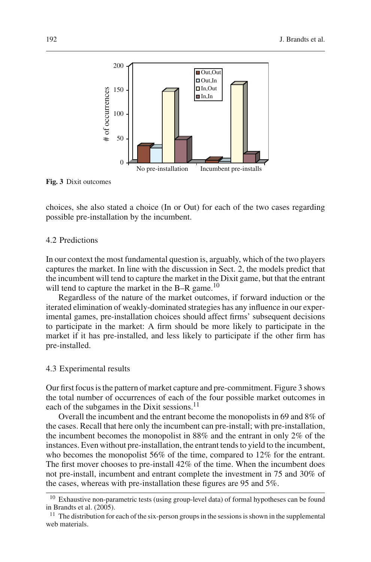

**Fig. 3** Dixit outcomes

choices, she also stated a choice (In or Out) for each of the two cases regarding possible pre-installation by the incumbent.

## 4.2 Predictions

In our context the most fundamental question is, arguably, which of the two players captures the market. In line with the discussion in Sect. 2, the models predict that the incumbent will tend to capture the market in the Dixit game, but that the entrant will tend to capture the market in the B–R game.<sup>10</sup>

Regardless of the nature of the market outcomes, if forward induction or the iterated elimination of weakly-dominated strategies has any influence in our experimental games, pre-installation choices should affect firms' subsequent decisions to participate in the market: A firm should be more likely to participate in the market if it has pre-installed, and less likely to participate if the other firm has pre-installed.

#### 4.3 Experimental results

Our first focus is the pattern of market capture and pre-commitment. Figure 3 shows the total number of occurrences of each of the four possible market outcomes in each of the subgames in the Dixit sessions.<sup>11</sup>

Overall the incumbent and the entrant become the monopolists in 69 and 8% of the cases. Recall that here only the incumbent can pre-install; with pre-installation, the incumbent becomes the monopolist in 88% and the entrant in only 2% of the instances. Even without pre-installation, the entrant tends to yield to the incumbent, who becomes the monopolist 56% of the time, compared to 12% for the entrant. The first mover chooses to pre-install 42% of the time. When the incumbent does not pre-install, incumbent and entrant complete the investment in 75 and 30% of the cases, whereas with pre-installation these figures are 95 and 5%.

<sup>&</sup>lt;sup>10</sup> Exhaustive non-parametric tests (using group-level data) of formal hypotheses can be found in Brandts et al. (2005).

<sup>&</sup>lt;sup>11</sup> The distribution for each of the six-person groups in the sessions is shown in the supplemental web materials.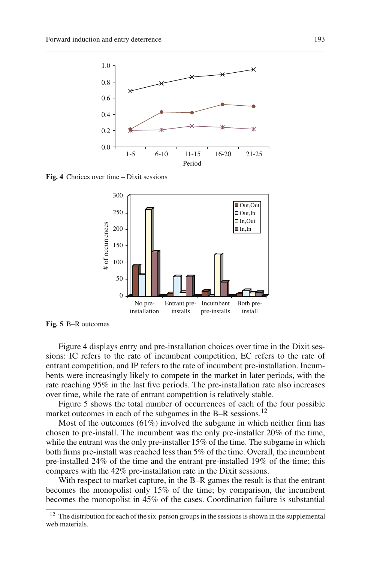

**Fig. 4** Choices over time – Dixit sessions



**Fig. 5** B–R outcomes

Figure 4 displays entry and pre-installation choices over time in the Dixit sessions: IC refers to the rate of incumbent competition, EC refers to the rate of entrant competition, and IP refers to the rate of incumbent pre-installation. Incumbents were increasingly likely to compete in the market in later periods, with the rate reaching 95% in the last five periods. The pre-installation rate also increases over time, while the rate of entrant competition is relatively stable.

Figure 5 shows the total number of occurrences of each of the four possible market outcomes in each of the subgames in the B–R sessions.<sup>12</sup>

Most of the outcomes  $(61\%)$  involved the subgame in which neither firm has chosen to pre-install. The incumbent was the only pre-installer 20% of the time, while the entrant was the only pre-installer 15% of the time. The subgame in which both firms pre-install was reached less than 5% of the time. Overall, the incumbent pre-installed 24% of the time and the entrant pre-installed 19% of the time; this compares with the 42% pre-installation rate in the Dixit sessions.

With respect to market capture, in the B–R games the result is that the entrant becomes the monopolist only 15% of the time; by comparison, the incumbent becomes the monopolist in 45% of the cases. Coordination failure is substantial

<sup>&</sup>lt;sup>12</sup> The distribution for each of the six-person groups in the sessions is shown in the supplemental web materials.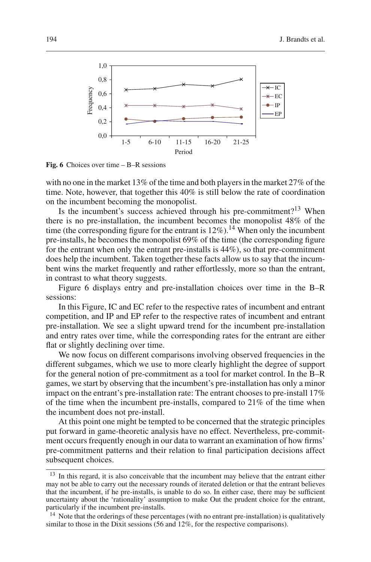

**Fig. 6** Choices over time – B–R sessions

with no one in the market  $13\%$  of the time and both players in the market  $27\%$  of the time. Note, however, that together this 40% is still below the rate of coordination on the incumbent becoming the monopolist.

Is the incumbent's success achieved through his pre-commitment?<sup>13</sup> When there is no pre-installation, the incumbent becomes the monopolist 48% of the time (the corresponding figure for the entrant is  $12\%$ ).<sup>14</sup> When only the incumbent pre-installs, he becomes the monopolist 69% of the time (the corresponding figure for the entrant when only the entrant pre-installs is 44%), so that pre-commitment does help the incumbent. Taken together these facts allow us to say that the incumbent wins the market frequently and rather effortlessly, more so than the entrant, in contrast to what theory suggests.

Figure 6 displays entry and pre-installation choices over time in the B–R sessions:

In this Figure, IC and EC refer to the respective rates of incumbent and entrant competition, and IP and EP refer to the respective rates of incumbent and entrant pre-installation. We see a slight upward trend for the incumbent pre-installation and entry rates over time, while the corresponding rates for the entrant are either flat or slightly declining over time.

We now focus on different comparisons involving observed frequencies in the different subgames, which we use to more clearly highlight the degree of support for the general notion of pre-commitment as a tool for market control. In the B–R games, we start by observing that the incumbent's pre-installation has only a minor impact on the entrant's pre-installation rate: The entrant chooses to pre-install 17% of the time when the incumbent pre-installs, compared to 21% of the time when the incumbent does not pre-install.

At this point one might be tempted to be concerned that the strategic principles put forward in game-theoretic analysis have no effect. Nevertheless, pre-commitment occurs frequently enough in our data to warrant an examination of how firms' pre-commitment patterns and their relation to final participation decisions affect subsequent choices.

<sup>&</sup>lt;sup>13</sup> In this regard, it is also conceivable that the incumbent may believe that the entrant either may not be able to carry out the necessary rounds of iterated deletion or that the entrant believes that the incumbent, if he pre-installs, is unable to do so. In either case, there may be sufficient uncertainty about the 'rationality' assumption to make Out the prudent choice for the entrant, particularly if the incumbent pre-installs.

 $14$  Note that the orderings of these percentages (with no entrant pre-installation) is qualitatively similar to those in the Dixit sessions (56 and 12%, for the respective comparisons).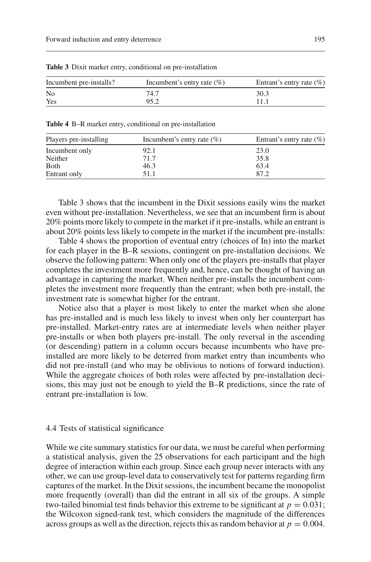| Incumbent pre-installs? | Incumbent's entry rate $(\%)$ | Entrant's entry rate $(\% )$ |
|-------------------------|-------------------------------|------------------------------|
| No                      | 74.7                          | 30.3                         |
| Yes                     | 95.2                          |                              |

**Table 3** Dixit market entry, conditional on pre-installation

**Table 4** B–R market entry, conditional on pre-installation

| Players pre-installing | Incumbent's entry rate $(\% )$ | Entrant's entry rate $(\% )$ |
|------------------------|--------------------------------|------------------------------|
| Incumbent only         | 92.1                           | 23.0                         |
| Neither                | 71.7                           | 35.8                         |
| <b>B</b> oth           | 46.3                           | 63.4                         |
| Entrant only           | 51.1                           | 87.2                         |

Table 3 shows that the incumbent in the Dixit sessions easily wins the market even without pre-installation. Nevertheless, we see that an incumbent firm is about 20% points more likely to compete in the market if it pre-installs, while an entrant is about 20% points less likely to compete in the market if the incumbent pre-installs:

Table 4 shows the proportion of eventual entry (choices of In) into the market for each player in the B–R sessions, contingent on pre-installation decisions. We observe the following pattern: When only one of the players pre-installs that player completes the investment more frequently and, hence, can be thought of having an advantage in capturing the market. When neither pre-installs the incumbent completes the investment more frequently than the entrant; when both pre-install, the investment rate is somewhat higher for the entrant.

Notice also that a player is most likely to enter the market when she alone has pre-installed and is much less likely to invest when only her counterpart has pre-installed. Market-entry rates are at intermediate levels when neither player pre-installs or when both players pre-install. The only reversal in the ascending (or descending) pattern in a column occurs because incumbents who have preinstalled are more likely to be deterred from market entry than incumbents who did not pre-install (and who may be oblivious to notions of forward induction). While the aggregate choices of both roles were affected by pre-installation decisions, this may just not be enough to yield the B–R predictions, since the rate of entrant pre-installation is low.

#### 4.4 Tests of statistical significance

While we cite summary statistics for our data, we must be careful when performing a statistical analysis, given the 25 observations for each participant and the high degree of interaction within each group. Since each group never interacts with any other, we can use group-level data to conservatively test for patterns regarding firm captures of the market. In the Dixit sessions, the incumbent became the monopolist more frequently (overall) than did the entrant in all six of the groups. A simple two-tailed binomial test finds behavior this extreme to be significant at  $p = 0.031$ ; the Wilcoxon signed-rank test, which considers the magnitude of the differences across groups as well as the direction, rejects this as random behavior at  $p = 0.004$ .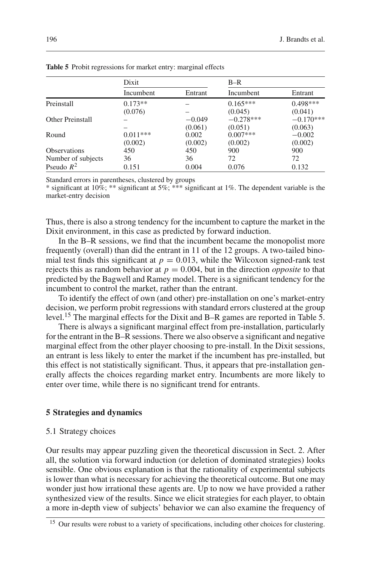|                     | Dixit      |          | $B-R$       |             |
|---------------------|------------|----------|-------------|-------------|
|                     | Incumbent  | Entrant  | Incumbent   | Entrant     |
| Preinstall          | $0.173**$  |          | $0.165***$  | $0.498***$  |
|                     | (0.076)    |          | (0.045)     | (0.041)     |
| Other Preinstall    |            | $-0.049$ | $-0.278***$ | $-0.170***$ |
|                     |            | (0.061)  | (0.051)     | (0.063)     |
| Round               | $0.011***$ | 0.002    | $0.007***$  | $-0.002$    |
|                     | (0.002)    | (0.002)  | (0.002)     | (0.002)     |
| <b>Observations</b> | 450        | 450      | 900         | 900         |
| Number of subjects  | 36         | 36       | 72          | 72          |
| Pseudo $R^2$        | 0.151      | 0.004    | 0.076       | 0.132       |

**Table 5** Probit regressions for market entry: marginal effects

Standard errors in parentheses, clustered by groups

\* significant at  $10\%$ ; \*\* significant at  $5\%$ ; \*\*\* significant at 1%. The dependent variable is the market-entry decision

Thus, there is also a strong tendency for the incumbent to capture the market in the Dixit environment, in this case as predicted by forward induction.

In the B–R sessions, we find that the incumbent became the monopolist more frequently (overall) than did the entrant in 11 of the 12 groups. A two-tailed binomial test finds this significant at  $p = 0.013$ , while the Wilcoxon signed-rank test rejects this as random behavior at  $p = 0.004$ , but in the direction *opposite* to that predicted by the Bagwell and Ramey model. There is a significant tendency for the incumbent to control the market, rather than the entrant.

To identify the effect of own (and other) pre-installation on one's market-entry decision, we perform probit regressions with standard errors clustered at the group level.15 The marginal effects for the Dixit and B–R games are reported in Table 5.

There is always a significant marginal effect from pre-installation, particularly for the entrant in the B–R sessions. There we also observe a significant and negative marginal effect from the other player choosing to pre-install. In the Dixit sessions, an entrant is less likely to enter the market if the incumbent has pre-installed, but this effect is not statistically significant. Thus, it appears that pre-installation generally affects the choices regarding market entry. Incumbents are more likely to enter over time, while there is no significant trend for entrants.

## **5 Strategies and dynamics**

## 5.1 Strategy choices

Our results may appear puzzling given the theoretical discussion in Sect. 2. After all, the solution via forward induction (or deletion of dominated strategies) looks sensible. One obvious explanation is that the rationality of experimental subjects is lower than what is necessary for achieving the theoretical outcome. But one may wonder just how irrational these agents are. Up to now we have provided a rather synthesized view of the results. Since we elicit strategies for each player, to obtain a more in-depth view of subjects' behavior we can also examine the frequency of

<sup>&</sup>lt;sup>15</sup> Our results were robust to a variety of specifications, including other choices for clustering.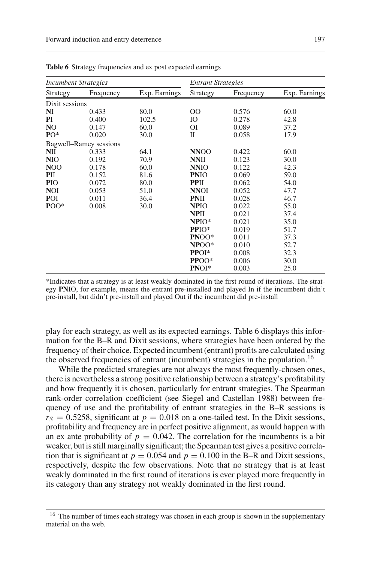| <i>Incumbent Strategies</i> |                        |               | <b>Entrant Strategies</b> |           |               |
|-----------------------------|------------------------|---------------|---------------------------|-----------|---------------|
| Strategy                    | Frequency              | Exp. Earnings | Strategy                  | Frequency | Exp. Earnings |
| Dixit sessions              |                        |               |                           |           |               |
| NI                          | 0.433                  | 80.0          | OO                        | 0.576     | 60.0          |
| PI                          | 0.400                  | 102.5         | IО                        | 0.278     | 42.8          |
| N <sub>O</sub>              | 0.147                  | 60.0          | ΟI                        | 0.089     | 37.2          |
| $PO*$                       | 0.020                  | 30.0          | П                         | 0.058     | 17.9          |
|                             | Bagwell-Ramey sessions |               |                           |           |               |
| NII                         | 0.333                  | 64.1          | <b>NNOO</b>               | 0.422     | 60.0          |
| <b>NIO</b>                  | 0.192                  | 70.9          | <b>NNII</b>               | 0.123     | 30.0          |
| N <sub>O</sub> O            | 0.178                  | 60.0          | <b>NNIO</b>               | 0.122     | 42.3          |
| PII                         | 0.152                  | 81.6          | <b>PNIO</b>               | 0.069     | 59.0          |
| PIO                         | 0.072                  | 80.0          | <b>PPII</b>               | 0.062     | 54.0          |
| <b>NOI</b>                  | 0.053                  | 51.0          | <b>NNOI</b>               | 0.052     | 47.7          |
| POI                         | 0.011                  | 36.4          | PNII                      | 0.028     | 46.7          |
| POO*                        | 0.008                  | 30.0          | <b>NPIO</b>               | 0.022     | 55.0          |
|                             |                        |               | NPII                      | 0.021     | 37.4          |
|                             |                        |               | $NPIO^*$                  | 0.021     | 35.0          |
|                             |                        |               | PPIO*                     | 0.019     | 51.7          |
|                             |                        |               | PNOO*                     | 0.011     | 37.3          |
|                             |                        |               | $NPOO*$                   | 0.010     | 52.7          |
|                             |                        |               | PPOI*                     | 0.008     | 32.3          |
|                             |                        |               | PPOO*                     | 0.006     | 30.0          |
|                             |                        |               | PNOI*                     | 0.003     | 25.0          |

**Table 6** Strategy frequencies and ex post expected earnings

\*Indicates that a strategy is at least weakly dominated in the first round of iterations. The strategy **PN**IO, for example, means the entrant pre-installed and played In if the incumbent didn't pre-install, but didn't pre-install and played Out if the incumbent did pre-install

play for each strategy, as well as its expected earnings. Table 6 displays this information for the B–R and Dixit sessions, where strategies have been ordered by the frequency of their choice. Expected incumbent (entrant) profits are calculated using the observed frequencies of entrant (incumbent) strategies in the population.<sup>16</sup>

While the predicted strategies are not always the most frequently-chosen ones, there is nevertheless a strong positive relationship between a strategy's profitability and how frequently it is chosen, particularly for entrant strategies. The Spearman rank-order correlation coefficient (see Siegel and Castellan 1988) between frequency of use and the profitability of entrant strategies in the B–R sessions is  $r_S = 0.5258$ , significant at  $p = 0.018$  on a one-tailed test. In the Dixit sessions, profitability and frequency are in perfect positive alignment, as would happen with an ex ante probability of  $p = 0.042$ . The correlation for the incumbents is a bit weaker, but is still marginally significant; the Spearman test gives a positive correlation that is significant at  $p = 0.054$  and  $p = 0.100$  in the B–R and Dixit sessions, respectively, despite the few observations. Note that no strategy that is at least weakly dominated in the first round of iterations is ever played more frequently in its category than any strategy not weakly dominated in the first round.

<sup>&</sup>lt;sup>16</sup> The number of times each strategy was chosen in each group is shown in the supplementary material on the web.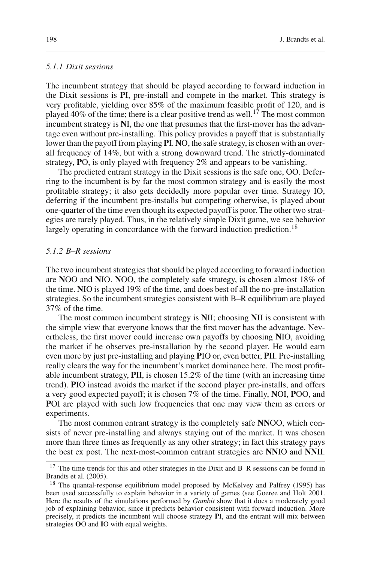## *5.1.1 Dixit sessions*

The incumbent strategy that should be played according to forward induction in the Dixit sessions is **P**I, pre-install and compete in the market. This strategy is very profitable, yielding over 85% of the maximum feasible profit of 120, and is played 40% of the time; there is a clear positive trend as well.<sup>17</sup> The most common incumbent strategy is **N**I, the one that presumes that the first-mover has the advantage even without pre-installing. This policy provides a payoff that is substantially lower than the payoff from playing **P**I. **N**O, the safe strategy, is chosen with an overall frequency of 14%, but with a strong downward trend. The strictly-dominated strategy, **P**O, is only played with frequency 2% and appears to be vanishing.

The predicted entrant strategy in the Dixit sessions is the safe one, OO. Deferring to the incumbent is by far the most common strategy and is easily the most profitable strategy; it also gets decidedly more popular over time. Strategy IO, deferring if the incumbent pre-installs but competing otherwise, is played about one-quarter of the time even though its expected payoff is poor. The other two strategies are rarely played. Thus, in the relatively simple Dixit game, we see behavior largely operating in concordance with the forward induction prediction.<sup>18</sup>

## *5.1.2 B–R sessions*

The two incumbent strategies that should be played according to forward induction are **N**OO and **N**IO. **N**OO, the completely safe strategy, is chosen almost 18% of the time. **N**IO is played 19% of the time, and does best of all the no-pre-installation strategies. So the incumbent strategies consistent with B–R equilibrium are played 37% of the time.

The most common incumbent strategy is **N**II; choosing **N**II is consistent with the simple view that everyone knows that the first mover has the advantage. Nevertheless, the first mover could increase own payoffs by choosing **N**IO, avoiding the market if he observes pre-installation by the second player. He would earn even more by just pre-installing and playing **P**IO or, even better, **P**II. Pre-installing really clears the way for the incumbent's market dominance here. The most profitable incumbent strategy, **P**II, is chosen 15.2% of the time (with an increasing time trend). **P**IO instead avoids the market if the second player pre-installs, and offers a very good expected payoff; it is chosen 7% of the time. Finally, **N**OI, **P**OO, and **P**OI are played with such low frequencies that one may view them as errors or experiments.

The most common entrant strategy is the completely safe **NN**OO, which consists of never pre-installing and always staying out of the market. It was chosen more than three times as frequently as any other strategy; in fact this strategy pays the best ex post. The next-most-common entrant strategies are **NN**IO and **NN**II.

<sup>&</sup>lt;sup>17</sup> The time trends for this and other strategies in the Dixit and B–R sessions can be found in Brandts et al. (2005).

<sup>&</sup>lt;sup>18</sup> The quantal-response equilibrium model proposed by McKelvey and Palfrey (1995) has been used successfully to explain behavior in a variety of games (see Goeree and Holt 2001. Here the results of the simulations performed by *Gambit* show that it does a moderately good job of explaining behavior, since it predicts behavior consistent with forward induction. More precisely, it predicts the incumbent will choose strategy **P**I, and the entrant will mix between strategies **O**O and **I**O with equal weights.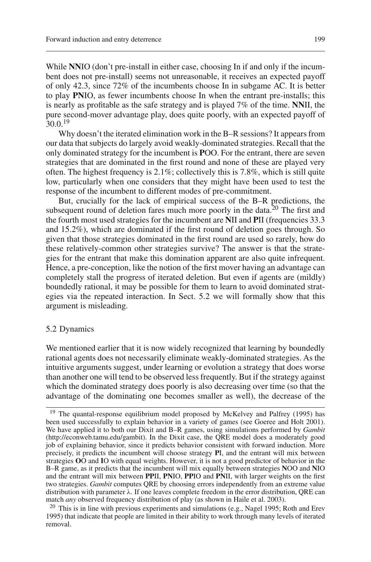While **NN**IO (don't pre-install in either case, choosing In if and only if the incumbent does not pre-install) seems not unreasonable, it receives an expected payoff of only 42.3, since 72% of the incumbents choose In in subgame AC. It is better to play **PN**IO, as fewer incumbents choose In when the entrant pre-installs; this is nearly as profitable as the safe strategy and is played 7% of the time. **NN**II, the pure second-mover advantage play, does quite poorly, with an expected payoff of  $30.0^{19}$ 

Why doesn't the iterated elimination work in the B–R sessions? It appears from our data that subjects do largely avoid weakly-dominated strategies. Recall that the only dominated strategy for the incumbent is **P**OO. For the entrant, there are seven strategies that are dominated in the first round and none of these are played very often. The highest frequency is 2.1%; collectively this is 7.8%, which is still quite low, particularly when one considers that they might have been used to test the response of the incumbent to different modes of pre-commitment.

But, crucially for the lack of empirical success of the B–R predictions, the subsequent round of deletion fares much more poorly in the data.<sup>20</sup> The first and the fourth most used strategies for the incumbent are **N**II and **P**II (frequencies 33.3 and 15.2%), which are dominated if the first round of deletion goes through. So given that those strategies dominated in the first round are used so rarely, how do these relatively-common other strategies survive? The answer is that the strategies for the entrant that make this domination apparent are also quite infrequent. Hence, a pre-conception, like the notion of the first mover having an advantage can completely stall the progress of iterated deletion. But even if agents are (mildly) boundedly rational, it may be possible for them to learn to avoid dominated strategies via the repeated interaction. In Sect. 5.2 we will formally show that this argument is misleading.

## 5.2 Dynamics

We mentioned earlier that it is now widely recognized that learning by boundedly rational agents does not necessarily eliminate weakly-dominated strategies. As the intuitive arguments suggest, under learning or evolution a strategy that does worse than another one will tend to be observed less frequently. But if the strategy against which the dominated strategy does poorly is also decreasing over time (so that the advantage of the dominating one becomes smaller as well), the decrease of the

<sup>&</sup>lt;sup>19</sup> The quantal-response equilibrium model proposed by McKelvey and Palfrey (1995) has been used successfully to explain behavior in a variety of games (see Goeree and Holt 2001). We have applied it to both our Dixit and B–R games, using simulations performed by *Gambit* (http://econweb.tamu.edu/gambit). In the Dixit case, the QRE model does a moderately good job of explaining behavior, since it predicts behavior consistent with forward induction. More precisely, it predicts the incumbent will choose strategy **P**I, and the entrant will mix between strategies **O**O and **I**O with equal weights. However, it is not a good predictor of behavior in the B–R game, as it predicts that the incumbent will mix equally between strategies **N**OO and **N**IO and the entrant will mix between **PP**II, **PN**IO, **PP**IO and **PN**II, with larger weights on the first two strategies. *Gambit* computes QRE by choosing errors independently from an extreme value distribution with parameter  $\lambda$ . If one leaves complete freedom in the error distribution, QRE can match *any* observed frequency distribution of play (as shown in Haile et al. 2003).

<sup>&</sup>lt;sup>20</sup> This is in line with previous experiments and simulations (e.g., Nagel 1995; Roth and Erev 1995) that indicate that people are limited in their ability to work through many levels of iterated removal.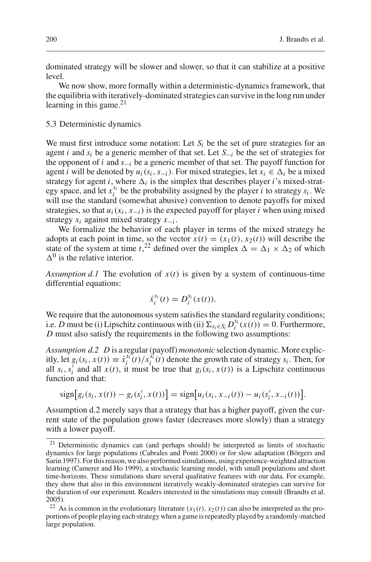dominated strategy will be slower and slower, so that it can stabilize at a positive level.

We now show, more formally within a deterministic-dynamics framework, that the equilibria with iteratively-dominated strategies can survive in the long run under learning in this game. $21$ 

## 5.3 Deterministic dynamics

We must first introduce some notation: Let  $S_i$  be the set of pure strategies for an agent *i* and *si* be a generic member of that set. Let *S*−*<sup>i</sup>* be the set of strategies for the opponent of *i* and *s*−*<sup>i</sup>* be a generic member of that set. The payoff function for agent *i* will be denoted by  $u_i(s_i, s_{-i})$ . For mixed strategies, let  $x_i \in \Delta_i$  be a mixed strategy for agent *i*, where  $\Delta_i$  is the simplex that describes player *i*'s mixed-strategy space, and let  $x_i^{s_i}$  be the probability assigned by the player *i* to strategy  $s_i$ . We will use the standard (somewhat abusive) convention to denote payoffs for mixed strategies, so that  $u_i(x_i, x_{-i})$  is the expected payoff for player *i* when using mixed strategy *xi* against mixed strategy *x*−*<sup>i</sup>* .

We formalize the behavior of each player in terms of the mixed strategy he adopts at each point in time, so the vector  $x(t) = (x_1(t), x_2(t))$  will describe the state of the system at time  $t^{2}$ , defined over the simplex  $\Delta = \Delta_1 \times \Delta_2$  of which  $\Delta^0$  is the relative interior.

*Assumption d.1* The evolution of  $x(t)$  is given by a system of continuous-time differential equations:

$$
\dot{x}_i^{s_i}(t) = D_i^{s_i}(x(t)).
$$

We require that the autonomous system satisfies the standard regularity conditions; i.e. *D* must be (i) Lipschitz continuous with (ii)  $\Sigma_{s_i \in S_i} D_i^{s_i}(x(t)) = 0$ . Furthermore, *D* must also satisfy the requirements in the following two assumptions:

*Assumption d.2 D* is a regular (payoff) *monotonic* selection dynamic. More explicitly, let  $g_i(s_i, x(t)) \equiv \dot{x}_i^{s_i}(t) / x_i^{s_i}(t)$  denote the growth rate of strategy  $s_i$ . Then, for all  $s_i$ ,  $s'_i$  and all  $x(t)$ , it must be true that  $g_i(s_i, x(t))$  is a Lipschitz continuous function and that:

$$
sign[g_i(s_i, x(t)) - g_i(s'_i, x(t))] = sign[u_i(s_i, x_{-i}(t)) - u_i(s'_i, x_{-i}(t))].
$$

Assumption d.2 merely says that a strategy that has a higher payoff, given the current state of the population grows faster (decreases more slowly) than a strategy with a lower payoff.

<sup>&</sup>lt;sup>21</sup> Deterministic dynamics can (and perhaps should) be interpreted as limits of stochastic dynamics for large populations (Cabrales and Ponti 2000) or for slow adaptation (Börgers and Sarin 1997). For this reason, we also performed simulations, using experience-weighted attraction learning (Camerer and Ho 1999), a stochastic learning model, with small populations and short time-horizons. These simulations share several qualitative features with our data. For example, they show that also in this environment iteratively weakly-dominated strategies can survive for the duration of our experiment. Readers interested in the simulations may consult (Brandts et al. 2005).

<sup>&</sup>lt;sup>22</sup> As is common in the evolutionary literature  $(x_1(t), x_2(t))$  can also be interpreted as the proportions of people playing each strategy when a game is repeatedly played by a randomly-matched large population.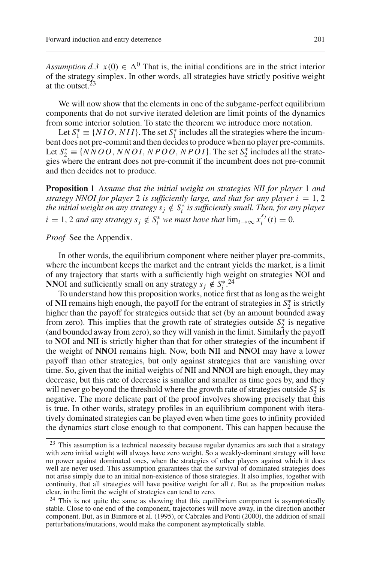*Assumption d.3*  $x(0) \in \Delta^0$  That is, the initial conditions are in the strict interior of the strategy simplex. In other words, all strategies have strictly positive weight at the outset. $23$ 

We will now show that the elements in one of the subgame-perfect equilibrium components that do not survive iterated deletion are limit points of the dynamics from some interior solution. To state the theorem we introduce more notation.

Let  $S_1^* \equiv \{NIO, NII\}$ . The set  $S_1^*$  includes all the strategies where the incumbent does not pre-commit and then decides to produce when no player pre-commits. Let  $S_2^* \equiv \{NNOO, NNOI, NPOO, NPOI\}$ . The set  $S_2^*$  includes all the strategies where the entrant does not pre-commit if the incumbent does not pre-commit and then decides not to produce.

**Proposition 1** *Assume that the initial weight on strategies NII for player* 1 *and strategy NNOI for player* 2 *is sufficiently large, and that for any player*  $i = 1, 2$ *the initial weight on any strategy*  $s_j \notin S_i^*$  *is sufficiently small. Then, for any player*  $i = 1, 2$  *and any strategy*  $s_j \notin S_i^*$  *we must have that*  $\lim_{t\to\infty} x_i^{s_j}(t) = 0$ *.* 

*Proof* See the Appendix.

In other words, the equilibrium component where neither player pre-commits, where the incumbent keeps the market and the entrant yields the market, is a limit of any trajectory that starts with a sufficiently high weight on strategies **N**OI and **NNOI** and sufficiently small on any strategy  $s_j \notin S_i^{*}$ .<sup>24</sup>

To understand how this proposition works, notice first that as long as the weight of **NII** remains high enough, the payoff for the entrant of strategies in  $S_2^*$  is strictly higher than the payoff for strategies outside that set (by an amount bounded away from zero). This implies that the growth rate of strategies outside  $S_2^*$  is negative (and bounded away from zero), so they will vanish in the limit. Similarly the payoff to **N**OI and **N**II is strictly higher than that for other strategies of the incumbent if the weight of **NN**OI remains high. Now, both **N**II and **NN**OI may have a lower payoff than other strategies, but only against strategies that are vanishing over time. So, given that the initial weights of **N**II and **NN**OI are high enough, they may decrease, but this rate of decrease is smaller and smaller as time goes by, and they will never go beyond the threshold where the growth rate of strategies outside *S*<sup>∗</sup><sub>2</sub> is negative. The more delicate part of the proof involves showing precisely that this is true. In other words, strategy profiles in an equilibrium component with iteratively dominated strategies can be played even when time goes to infinity provided the dynamics start close enough to that component. This can happen because the

<sup>&</sup>lt;sup>23</sup> This assumption is a technical necessity because regular dynamics are such that a strategy with zero initial weight will always have zero weight. So a weakly-dominant strategy will have no power against dominated ones, when the strategies of other players against which it does well are never used. This assumption guarantees that the survival of dominated strategies does not arise simply due to an initial non-existence of those strategies. It also implies, together with continuity, that all strategies will have positive weight for all *t*. But as the proposition makes clear, in the limit the weight of strategies can tend to zero.

<sup>&</sup>lt;sup>24</sup> This is not quite the same as showing that this equilibrium component is asymptotically stable. Close to one end of the component, trajectories will move away, in the direction another component. But, as in Binmore et al. (1995), or Cabrales and Ponti (2000), the addition of small perturbations/mutations, would make the component asymptotically stable.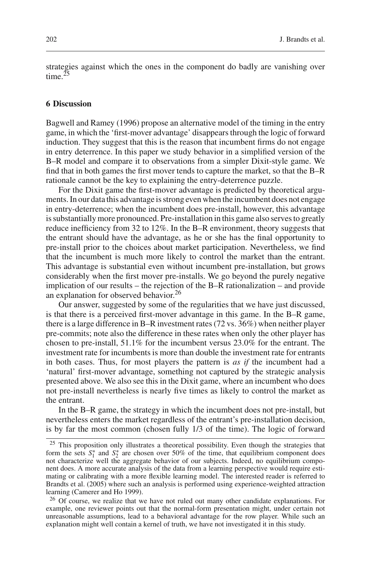strategies against which the ones in the component do badly are vanishing over time. $25$ 

## **6 Discussion**

Bagwell and Ramey (1996) propose an alternative model of the timing in the entry game, in which the 'first-mover advantage' disappears through the logic of forward induction. They suggest that this is the reason that incumbent firms do not engage in entry deterrence. In this paper we study behavior in a simplified version of the B–R model and compare it to observations from a simpler Dixit-style game. We find that in both games the first mover tends to capture the market, so that the B–R rationale cannot be the key to explaining the entry-deterrence puzzle.

For the Dixit game the first-mover advantage is predicted by theoretical arguments. In our data this advantage is strong even when the incumbent does not engage in entry-deterrence; when the incumbent does pre-install, however, this advantage is substantially more pronounced. Pre-installation in this game also serves to greatly reduce inefficiency from 32 to 12%. In the B–R environment, theory suggests that the entrant should have the advantage, as he or she has the final opportunity to pre-install prior to the choices about market participation. Nevertheless, we find that the incumbent is much more likely to control the market than the entrant. This advantage is substantial even without incumbent pre-installation, but grows considerably when the first mover pre-installs. We go beyond the purely negative implication of our results – the rejection of the B–R rationalization – and provide an explanation for observed behavior.<sup>26</sup>

Our answer, suggested by some of the regularities that we have just discussed, is that there is a perceived first-mover advantage in this game. In the B–R game, there is a large difference in B–R investment rates (72 vs. 36%) when neither player pre-commits; note also the difference in these rates when only the other player has chosen to pre-install, 51.1% for the incumbent versus 23.0% for the entrant. The investment rate for incumbents is more than double the investment rate for entrants in both cases. Thus, for most players the pattern is *as if* the incumbent had a 'natural' first-mover advantage, something not captured by the strategic analysis presented above. We also see this in the Dixit game, where an incumbent who does not pre-install nevertheless is nearly five times as likely to control the market as the entrant.

In the B–R game, the strategy in which the incumbent does not pre-install, but nevertheless enters the market regardless of the entrant's pre-installation decision, is by far the most common (chosen fully 1/3 of the time). The logic of forward

<sup>&</sup>lt;sup>25</sup> This proposition only illustrates a theoretical possibility. Even though the strategies that form the sets  $S_1^*$  and  $S_2^*$  are chosen over 50% of the time, that equilibrium component does not characterize well the aggregate behavior of our subjects. Indeed, no equilibrium component does. A more accurate analysis of the data from a learning perspective would require estimating or calibrating with a more flexible learning model. The interested reader is referred to Brandts et al. (2005) where such an analysis is performed using experience-weighted attraction learning (Camerer and Ho 1999).

<sup>&</sup>lt;sup>26</sup> Of course, we realize that we have not ruled out many other candidate explanations. For example, one reviewer points out that the normal-form presentation might, under certain not unreasonable assumptions, lead to a behavioral advantage for the row player. While such an explanation might well contain a kernel of truth, we have not investigated it in this study.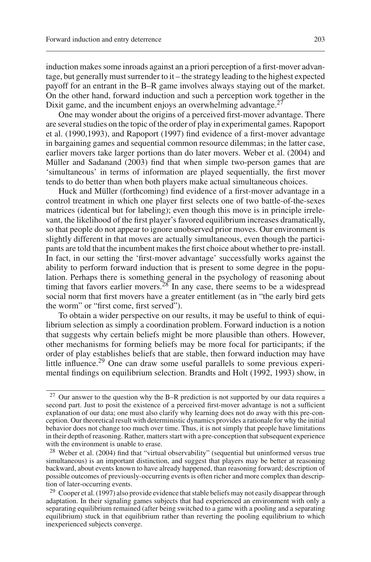induction makes some inroads against an a priori perception of a first-mover advantage, but generally must surrender to it – the strategy leading to the highest expected payoff for an entrant in the B–R game involves always staying out of the market. On the other hand, forward induction and such a perception work together in the Dixit game, and the incumbent enjoys an overwhelming advantage.<sup>27</sup>

One may wonder about the origins of a perceived first-mover advantage. There are several studies on the topic of the order of play in experimental games. Rapoport et al. (1990,1993), and Rapoport (1997) find evidence of a first-mover advantage in bargaining games and sequential common resource dilemmas; in the latter case, earlier movers take larger portions than do later movers. Weber et al. (2004) and Müller and Sadanand (2003) find that when simple two-person games that are 'simultaneous' in terms of information are played sequentially, the first mover tends to do better than when both players make actual simultaneous choices.

Huck and Müller (forthcoming) find evidence of a first-mover advantage in a control treatment in which one player first selects one of two battle-of-the-sexes matrices (identical but for labeling); even though this move is in principle irrelevant, the likelihood of the first player's favored equilibrium increases dramatically, so that people do not appear to ignore unobserved prior moves. Our environment is slightly different in that moves are actually simultaneous, even though the participants are told that the incumbent makes the first choice about whether to pre-install. In fact, in our setting the 'first-mover advantage' successfully works against the ability to perform forward induction that is present to some degree in the population. Perhaps there is something general in the psychology of reasoning about timing that favors earlier movers.<sup>28</sup> In any case, there seems to be a widespread social norm that first movers have a greater entitlement (as in "the early bird gets the worm" or "first come, first served").

To obtain a wider perspective on our results, it may be useful to think of equilibrium selection as simply a coordination problem. Forward induction is a notion that suggests why certain beliefs might be more plausible than others. However, other mechanisms for forming beliefs may be more focal for participants; if the order of play establishes beliefs that are stable, then forward induction may have little influence.29 One can draw some useful parallels to some previous experimental findings on equilibrium selection. Brandts and Holt (1992, 1993) show, in

 $27$  Our answer to the question why the B-R prediction is not supported by our data requires a second part. Just to posit the existence of a perceived first-mover advantage is not a sufficient explanation of our data; one must also clarify why learning does not do away with this pre-conception. Our theoretical result with deterministic dynamics provides a rationale for why the initial behavior does not change too much over time. Thus, it is not simply that people have limitations in their depth of reasoning. Rather, matters start with a pre-conception that subsequent experience with the environment is unable to erase.

<sup>&</sup>lt;sup>28</sup> Weber et al. (2004) find that "virtual observability" (sequential but uninformed versus true simultaneous) is an important distinction, and suggest that players may be better at reasoning backward, about events known to have already happened, than reasoning forward; description of possible outcomes of previously-occurring events is often richer and more complex than description of later-occurring events.

<sup>&</sup>lt;sup>29</sup> Cooper et al. (1997) also provide evidence that stable beliefs may not easily disappear through adaptation. In their signaling games subjects that had experienced an environment with only a separating equilibrium remained (after being switched to a game with a pooling and a separating equilibrium) stuck in that equilibrium rather than reverting the pooling equilibrium to which inexperienced subjects converge.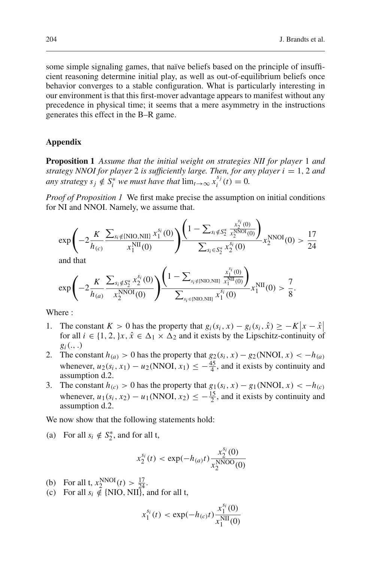some simple signaling games, that naïve beliefs based on the principle of insufficient reasoning determine initial play, as well as out-of-equilibrium beliefs once behavior converges to a stable configuration. What is particularly interesting in our environment is that this first-mover advantage appears to manifest without any precedence in physical time; it seems that a mere asymmetry in the instructions generates this effect in the B–R game.

## **Appendix**

**Proposition 1** *Assume that the initial weight on strategies NII for player* 1 *and strategy NNOI for player* 2 *is sufficiently large. Then, for any player*  $i = 1, 2$  *and any strategy s<sub>j</sub>*  $\notin S_i^*$  *we must have that*  $\lim_{t\to\infty} x_i^{s_j}(t) = 0$ *.* 

*Proof of Proposition 1* We first make precise the assumption on initial conditions for NI and NNOI. Namely, we assume that.

$$
\exp\left(-2\frac{K}{h_{(c)}}\frac{\sum_{s_i\notin\{\text{NIO},\text{NII}\}}x_1^{s_i}(0)}{x_1^{\text{NII}}(0)}\right)\frac{\left(1-\sum_{s_i\notin S_2^*}\frac{x_2^{s_i}(0)}{x_2^{\text{NNOI}}(0)}\right)}{\sum_{s_i\in S_2^*}x_2^{s_i}(0)}x_2^{\text{NNOI}}(0) > \frac{17}{24}
$$

and that

$$
\exp\left(-2\frac{K}{h_{(a)}}\frac{\sum_{s_i\notin S_2^*} x_2^{s_i}(0)}{x_2^{\text{NNOI}}(0)}\right)\frac{\left(1-\sum_{s_i\notin [\text{NIO},\text{NII}]} \frac{x_1^{s_i}(0)}{x_1^{\text{NII}}(0)}\right)}{\sum_{s_i\in [\text{NIO},\text{NII}]} x_1^{s_i}(0)}x_1^{\text{NII}}(0) > \frac{7}{8}.
$$

Where :

- 1. The constant  $K > 0$  has the property that  $g_i(s_i, x) g_i(s_i, \hat{x}) \ge -K|x \hat{x}|$ <br>for all  $i \in \{1, 2, \ldots, \hat{x}\} \in A$ ,  $\vee A$ , and it orieta by the Lincobity continuity of for all  $i \in \{1, 2, \}x$ ,  $\hat{x} \in \Delta_1 \times \Delta_2$  and it exists by the Lipschitz-continuity of  $g_i(., .)$
- 2. The constant  $h_{(a)} > 0$  has the property that  $g_2(s_i, x) g_2(NNOI, x) < -h_{(a)}$ whenever,  $u_2(s_i, x_1) - u_2(NNOI, x_1) \le -\frac{45}{4}$ , and it exists by continuity and assumption d.2.
- 3. The constant  $h(c) > 0$  has the property that  $g_1(s_i, x) g_1(NNOI, x) < -h(c)$ whenever,  $u_1(s_i, x_2) - u_1(NNOI, x_2) \le -\frac{15}{2}$ , and it exists by continuity and assumption d.2.

We now show that the following statements hold:

(a) For all  $s_i \notin S_2^*$ , and for all t,

$$
x_2^{s_i}(t) < \exp(-h_{(a)}t) \frac{x_2^{s_i}(0)}{x_2^{\text{NNOO}}(0)}
$$

(b) For all t,  $x_2^{\text{NNOI}}(t) > \frac{17}{24}$ . (c) For all  $s_i \notin \{NIO, NII\}$ , and for all t,

$$
x_1^{s_i}(t) < \exp(-h_{(c)}t) \frac{x_1^{s_i}(0)}{x_1^{\text{NII}}(0)}
$$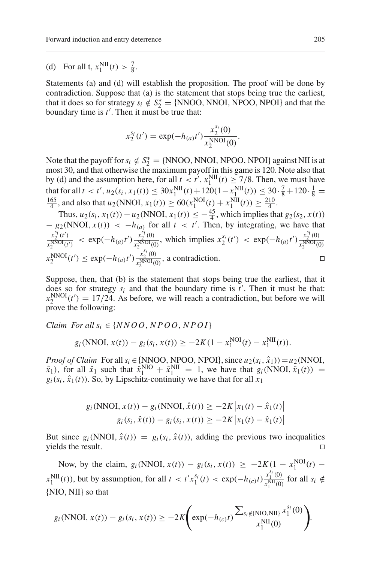(d) For all t,  $x_1^{\text{NH}}(t) > \frac{7}{8}$ .

Statements (a) and (d) will establish the proposition. The proof will be done by contradiction. Suppose that (a) is the statement that stops being true the earliest, that it does so for strategy  $s_i \notin S^*$  = {NNOO, NNOI, NPOO, NPOI} and that the boundary time is  $t'$ . Then it must be true that:

$$
x_2^{s_i}(t') = \exp(-h_{(a)}t') \frac{x_2^{s_i}(0)}{x_2^{NNOI}(0)}.
$$

Note that the payoff for  $s_i \notin S_2^* = \{NNOO, NNOI, NPOO, NPOI\}$  against NII is at most 30, and that otherwise the maximum payoff in this game is 120. Note also that by (d) and the assumption here, for all  $t < t'$ ,  $x_1^{\text{NH}}(t) \ge 7/8$ . Then, we must have that for all  $t < t'$ ,  $u_2(s_i, x_1(t)) \le 30x_1^{\text{NH}}(t) + 120(1 - x_1^{\text{NH}}(t)) \le 30 \cdot \frac{7}{8} + 120 \cdot \frac{1}{8} = \frac{165}{4}$ , and also that  $u_2(\text{NNOI}, x_1(t)) \ge 60(x_1^{\text{NOI}}(t) + x_1^{\text{NH}}(t)) \ge \frac{210}{4}$ .

Thus,  $u_2(s_i, x_1(t)) - u_2(NNOI, x_1(t)) \leq -\frac{45}{4}$ , which implies that *g*<sub>2</sub>(*s*<sub>2</sub>, *x*(*t*))  $-g_2(NNOI, x(t)) < -h_{(a)}$  for all  $t < t'$ . Then, by integrating, we have that  $x_2^{s_i}(t')$  $\frac{x_2^{s_i}(t')}{x_2^{NNOI}(t')}$  < exp(-*h*(*a*)*t'*)  $\frac{x_2^{s_i}(0)}{x_2^{NNOI}(t')}$  $\frac{x_2^{s_i}(0)}{x_2^{NNOI}(0)}$ , which implies  $x_2^{s_i}(t') < \exp(-h_{(a)}t') \frac{x_2^{s_i}(0)}{x_2^{NNOI}(0)}$  $x_2^{\text{NNOI}}(0)$  $x_2^{\text{NNOI}}(t') \le \exp(-h_{(a)}t') \frac{x_2^{s_i}(0)}{x_2^{\text{NNOI}}(0)}$  $\frac{x_2^{(0)}}{x_2^{(N)1}(0)}$ , a contradiction.

Suppose, then, that (b) is the statement that stops being true the earliest, that it does so for strategy  $s_i$  and that the boundary time is  $t'$ . Then it must be that:  $x_2^{\text{NNOI}}(t') = 17/24$ . As before, we will reach a contradiction, but before we will prove the following:

Claim For all 
$$
s_i \in \{NNOO, NPOO, NPOI\}
$$
  
 $g_i(NNOI, x(t)) - g_i(s_i, x(t)) \ge -2K(1 - x_1^{NOI}(t) - x_1^{NII}(t)).$ 

*Proof of Claim* For all  $s_i \in \{NNOO, NPOO, NPOI\}$ , since  $u_2(s_i, \hat{x}_1) = u_2(NNOI)$ ,  $\hat{x}_1$ ), for all  $\hat{x}_1$  such that  $\hat{x}_1^{\text{NIO}} + \hat{x}_1^{\text{NII}} = 1$ , we have that  $g_i(\text{NNOI}, \hat{x}_1(t)) =$  $g_i(s_i, \hat{x}_1(t))$ . So, by Lipschitz-continuity we have that for all  $x_1$ 

$$
g_i(\text{NNOI}, x(t)) - g_i(\text{NNOI}, \hat{x}(t)) \ge -2K |x_1(t) - \hat{x}_1(t)|
$$
  

$$
g_i(s_i, \hat{x}(t)) - g_i(s_i, x(t)) \ge -2K |x_1(t) - \hat{x}_1(t)|
$$

But since  $g_i(NNOI, \hat{x}(t)) = g_i(s_i, \hat{x}(t))$ , adding the previous two inequalities yields the result.  $\Box$ 

Now, by the claim,  $g_i(NNOI, x(t)) - g_i(s_i, x(t)) \geq -2K(1 - x_1^{NOI}(t))$  $x_1^{\text{NII}}(t)$ , but by assumption, for all  $t < t' x_1^{s_i}(t) < \exp(-h_{(c)}t) \frac{x_1^{s_i}(0)}{x_1^{\text{NII}}(0)}$  $\frac{x_1}{x_1^{\text{NII}}(0)}$  for all  $s_i \notin$ {NIO, NII} so that

$$
g_i(\text{NNOI}, x(t)) - g_i(s_i, x(t)) \ge -2K \left( \exp(-h_{(c)}t) \frac{\sum_{s_i \notin \text{[NIO,NII]}} x_1^{s_i}(0)}{x_1^{\text{NII}}(0)} \right).
$$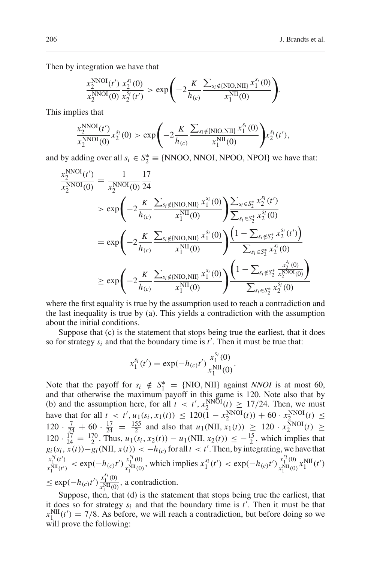Then by integration we have that

$$
\frac{x_2^{\text{NNOI}}(t')}{x_2^{\text{NNOI}}(0)} \frac{x_2^{s_i}(0)}{x_2^{s_i}(t')} > \exp\left(-2\frac{K}{h_{(c)}}\frac{\sum_{s_i \notin \text{[NIO,NII]}} x_1^{s_i}(0)}{x_1^{\text{NII}}(0)}\right).
$$

This implies that

$$
\frac{x_2^{\text{NNOI}}(t')}{x_2^{\text{NNOI}}(0)} x_2^{s_i}(0) > \exp\left(-2\frac{K}{h_{(c)}} \frac{\sum_{s_i \notin \text{[NIO,NII]}} x_1^{s_i}(0)}{x_1^{\text{NII}}(0)}\right) x_2^{s_i}(t'),
$$

and by adding over all  $s_i \in S_2^* \equiv \{NNOO, NNOI, NPOO, NPOI\}$  we have that:

$$
\frac{x_2^{\text{NNOI}}(t')}{x_2^{\text{NNOI}}(0)} = \frac{1}{x_2^{\text{NNOI}}(0)} \frac{17}{24}
$$
\n
$$
> \exp\left(-2\frac{K}{h_{(c)}} \frac{\sum_{s_i \notin \text{[NIO,NII]}} x_1^{s_i}(0)}{x_1^{\text{NII}}(0)}\right) \frac{\sum_{s_i \in S_2^*} x_2^{s_i}(t')}{\sum_{s_i \in S_2^*} x_2^{s_i}(0)}
$$
\n
$$
= \exp\left(-2\frac{K}{h_{(c)}} \frac{\sum_{s_i \notin \text{[NIO,NII]}} x_1^{s_i}(0)}{x_1^{\text{NII}}(0)}\right) \frac{\left(1 - \sum_{s_i \notin S_2^*} x_2^{s_i}(t')\right)}{\sum_{s_i \in S_2^*} x_2^{s_i}(0)}
$$
\n
$$
\ge \exp\left(-2\frac{K}{h_{(c)}} \frac{\sum_{s_i \notin \text{[NIO,NII]}} x_1^{s_i}(0)}{x_1^{\text{NII}}(0)}\right) \frac{\left(1 - \sum_{s_i \notin S_2^*} x_2^{s_i}(0)}{x_2^{\text{NNOI}}(0)}\right)}{\sum_{s_i \in S_2^*} x_2^{s_i}(0)}
$$

where the first equality is true by the assumption used to reach a contradiction and the last inequality is true by (a). This yields a contradiction with the assumption about the initial conditions.

Suppose that (c) is the statement that stops being true the earliest, that it does so for strategy  $s_i$  and that the boundary time is  $t'$ . Then it must be true that:

$$
x_1^{s_i}(t') = \exp(-h_{(c)}t') \frac{x_1^{s_i}(0)}{x_1^{\text{NII}}(0)}.
$$

Note that the payoff for  $s_i \notin S_1^* = \{NIO, NII\}$  against *NNOI* is at most 60, and that otherwise the maximum payoff in this game is 120. Note also that by (b) and the assumption here, for all  $t < t'$ ,  $x_2^{\text{NNOI}}(t) \ge 17/24$ . Then, we must have that for all  $t < t'$ ,  $u_1(s_i, x_1(t)) \le 120(1 - x_2^{\text{NNOI}}(t)) + 60 \cdot x_2^{\text{NNOI}}(t) \le$  $120 \cdot \frac{7}{24} + 60 \cdot \frac{17}{24} = \frac{155}{2}$  and also that  $u_1(NII, x_1(t)) \ge 120 \cdot x_2^{NNOI}(t) \ge$ 120 ·  $\frac{17}{24} = \frac{170}{2}$ . Thus,  $u_1(s_i, x_2(t)) - u_1(NII, x_2(t)) \le -\frac{15}{2}$ , which implies that  $g_i(s_i, \bar{x}(t)) - g_i(\text{NII}, x(t)) < -h_{(c)}$  for all  $t < t'$ . Then, by integrating, we have that  $x_1^{s_i}(t')$  $\frac{x_1^{s_i}(t')}{x_1^{\text{NII}}(t')} < \exp(-h_{(c)}t') \frac{x_1^{s_i}(0)}{x_1^{\text{NII}}(0)}$  $x_1^{s_i}(0)$ , which implies  $x_1^{s_i}(t') < \exp(-h_{(c)}t') \frac{x_1^{s_i}(0)}{x_1^{N_{\text{III}}}(0)}$  $\frac{x_1^{\prime}(0)}{x_1^{\text{NH}}(0)} x_1^{\text{NH}}(t')$  $\leq$  exp( $-h_{(c)}t'$ )  $\frac{x_1^{s_i}(0)}{x^{\text{NH}}(0)}$  $\frac{x_1}{x_1^{\text{NH}}(0)}$ , a contradiction.

Suppose, then, that (d) is the statement that stops being true the earliest, that it does so for strategy  $s_i$  and that the boundary time is  $t'$ . Then it must be that  $x_{1}^{\text{NII}}(t') = 7/8$ . As before, we will reach a contradiction, but before doing so we will prove the following: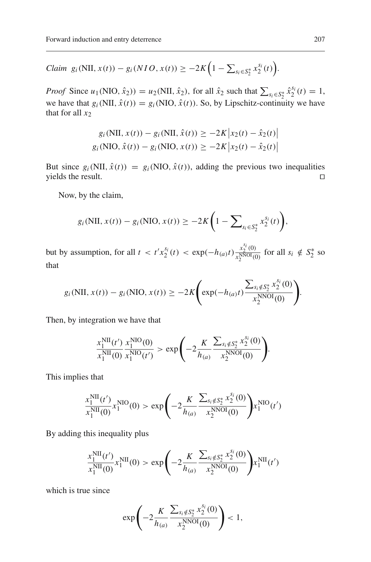Claim 
$$
g_i(\text{NII}, x(t)) - g_i(NIO, x(t)) \ge -2K\left(1 - \sum_{s_i \in S_2^*} x_2^{s_i}(t)\right).
$$

*Proof* Since  $u_1(NIO, \hat{x}_2) = u_2(NII, \hat{x}_2)$ , for all  $\hat{x}_2$  such that  $\sum_{s_i \in S_2^*} \hat{x}_2^{s_i}(t) = 1$ , we have that  $g_i(NII, \hat{x}(t)) = g_i(NIO, \hat{x}(t))$ . So, by Lipschitz-continuity we have that for all  $x_2$ 

$$
g_i(\text{NII}, x(t)) - g_i(\text{NII}, \hat{x}(t)) \ge -2K |x_2(t) - \hat{x}_2(t)|
$$
  

$$
g_i(\text{NIO}, \hat{x}(t)) - g_i(\text{NIO}, x(t)) \ge -2K |x_2(t) - \hat{x}_2(t)|
$$

But since  $g_i(\text{NII}, \hat{x}(t)) = g_i(\text{NIO}, \hat{x}(t))$ , adding the previous two inequalities vields the result. yields the result. 

Now, by the claim,

$$
g_i(\text{NII}, x(t)) - g_i(\text{NIO}, x(t)) \ge -2K\bigg(1 - \sum_{s_i \in S_2^*} x_2^{s_i}(t)\bigg),
$$

but by assumption, for all  $t < t' x_2^{s_i}(t) < \exp(-h_{(a)}t) \frac{x_2^{s_i}(0)}{x_2^{NNOI(0)}}$  $\frac{x_2^{(0)}}{x_2^{(N)0}(0)}$  for all  $s_i \notin S_2^*$  so that

$$
g_i(\text{NII}, x(t)) - g_i(\text{NIO}, x(t)) \ge -2K \left( \exp(-h_{(a)}t) \frac{\sum_{s_i \notin S_2^*} x_2^{s_i}(0)}{x_2^{\text{NIOI}}(0)} \right).
$$

Then, by integration we have that

$$
\frac{x_1^{\text{NII}}(t')}{x_1^{\text{NII}}(0)} \frac{x_1^{\text{NIO}}(0)}{x_1^{\text{NIO}}(t')} > \exp\left(-2\frac{K}{h_{(a)}} \frac{\sum_{s_i \notin S_2^*} x_2^{s_i}(0)}{x_2^{\text{NNOI}}(0)}\right).
$$

This implies that

$$
\frac{x_1^{\text{NII}}(t')}{x_1^{\text{NII}}(0)}x_1^{\text{NIO}}(0) > \exp\left(-2\frac{K}{h_{(a)}}\frac{\sum_{s_i \notin S_2^*} x_2^{s_i}(0)}{x_2^{\text{NNOI}}(0)}\right)x_1^{\text{NIO}}(t')
$$

By adding this inequality plus

$$
\frac{x_1^{\text{NII}}(t')}{x_1^{\text{NII}}(0)} x_1^{\text{NII}}(0) > \exp\left(-2\frac{K}{h_{(a)}} \frac{\sum_{s_i \notin S_2^*} x_2^{s_i}(0)}{x_2^{\text{NNOI}}(0)}\right) x_1^{\text{NII}}(t')
$$

which is true since

$$
\exp\left(-2\frac{K}{h_{(a)}}\frac{\sum_{s_i\notin S_2^*}x_2^{s_i}(0)}{x_2^\text{NNOI}(0)}\right)<1,
$$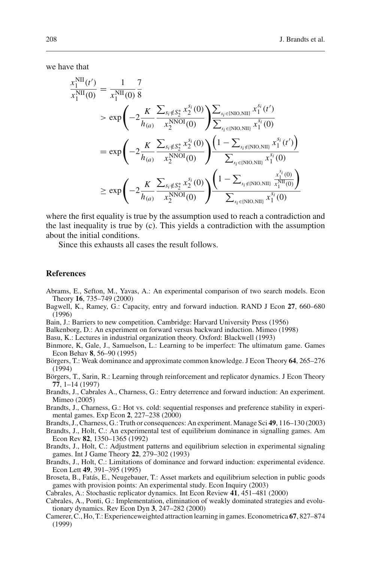we have that

$$
\frac{x_1^{\text{NH}}(t')}{x_1^{\text{NH}}(0)} = \frac{1}{x_1^{\text{NH}}(0)} \frac{7}{8}
$$
\n
$$
> \exp\left(-2\frac{K}{h_{(a)}} \frac{\sum_{s_i \notin S_2^*} x_2^{s_i}(0)}{x_2^{\text{NNOI}}(0)}\right) \frac{\sum_{s_i \in [\text{NIO},\text{NH}]} x_1^{s_i}(t')}{\sum_{s_i \in [\text{NIO},\text{NH}]} x_1^{s_i}(0)}
$$
\n
$$
= \exp\left(-2\frac{K}{h_{(a)}} \frac{\sum_{s_i \notin S_2^*} x_2^{s_i}(0)}{x_2^{\text{NNOI}}(0)}\right) \frac{\left(1 - \sum_{s_i \notin [\text{NIO},\text{NH}]} x_1^{s_i}(t')\right)}{\sum_{s_i \in [\text{NIO},\text{NH}]} x_1^{s_i}(0)}
$$
\n
$$
\geq \exp\left(-2\frac{K}{h_{(a)}} \frac{\sum_{s_i \notin S_2^*} x_2^{s_i}(0)}{x_2^{\text{NNOI}}(0)}\right) \frac{\left(1 - \sum_{s_i \notin [\text{NIO},\text{NH}]} x_1^{s_i}(0)}{\sum_{s_i \in [\text{NIO},\text{NH}]} x_1^{s_i}(0)}\right)}
$$

where the first equality is true by the assumption used to reach a contradiction and the last inequality is true by (c). This yields a contradiction with the assumption about the initial conditions.

Since this exhausts all cases the result follows.

## **References**

- Abrams, E., Sefton, M., Yavas, A.: An experimental comparison of two search models. Econ Theory **16**, 735–749 (2000)
- Bagwell, K., Ramey, G.: Capacity, entry and forward induction. RAND J Econ **27**, 660–680 (1996)
- Bain, J.: Barriers to new competition. Cambridge: Harvard University Press (1956)
- Balkenborg, D.: An experiment on forward versus backward induction. Mimeo (1998)
- Basu, K.: Lectures in industrial organization theory. Oxford: Blackwell (1993)
- Binmore, K, Gale, J., Samuelson, L.: Learning to be imperfect: The ultimatum game. Games Econ Behav **8**, 56–90 (1995)
- Börgers, T.: Weak dominance and approximate common knowledge. J Econ Theory **64**, 265–276 (1994)
- Börgers, T., Sarin, R.: Learning through reinforcement and replicator dynamics. J Econ Theory **77**, 1–14 (1997)
- Brandts, J., Cabrales A., Charness, G.: Entry deterrence and forward induction: An experiment. Mimeo (2005)
- Brandts, J., Charness, G.: Hot vs. cold: sequential responses and preference stability in experimental games. Exp Econ **2**, 227–238 (2000)
- Brandts, J., Charness, G.: Truth or consequences: An experiment. Manage Sci **49**, 116–130 (2003)
- Brandts, J., Holt, C.: An experimental test of equilibrium dominance in signalling games. Am Econ Rev **82**, 1350–1365 (1992)
- Brandts, J., Holt, C.: Adjustment patterns and equilibrium selection in experimental signaling games. Int J Game Theory **22**, 279–302 (1993)
- Brandts, J., Holt, C.: Limitations of dominance and forward induction: experimental evidence. Econ Lett **49**, 391–395 (1995)
- Broseta, B., Fatás, E., Neugebauer, T.: Asset markets and equilibrium selection in public goods games with provision points: An experimental study. Econ Inquiry (2003)
- Cabrales, A.: Stochastic replicator dynamics. Int Econ Review **41**, 451–481 (2000)
- Cabrales, A., Ponti, G.: Implementation, elimination of weakly dominated strategies and evolutionary dynamics. Rev Econ Dyn **3**, 247–282 (2000)
- Camerer, C., Ho, T.: Experienceweighted attraction learning in games. Econometrica **67**, 827–874 (1999)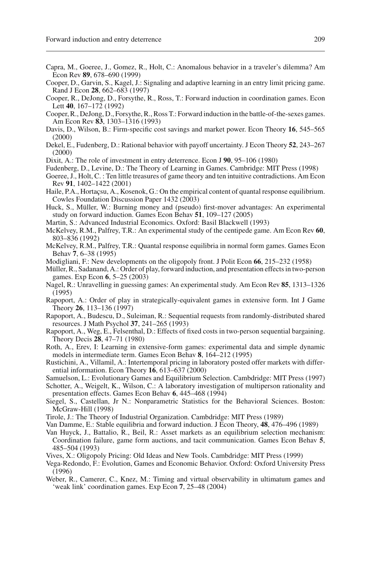- Capra, M., Goeree, J., Gomez, R., Holt, C.: Anomalous behavior in a traveler's dilemma? Am Econ Rev **89**, 678–690 (1999)
- Cooper, D., Garvin, S., Kagel, J.: Signaling and adaptive learning in an entry limit pricing game. Rand J Econ **28**, 662–683 (1997)
- Cooper, R., DeJong, D., Forsythe, R., Ross, T.: Forward induction in coordination games. Econ Lett **40**, 167–172 (1992)
- Cooper, R., DeJong, D., Forsythe, R., Ross T.: Forward induction in the battle-of-the-sexes games. Am Econ Rev **83**, 1303–1316 (1993)
- Davis, D., Wilson, B.: Firm-specific cost savings and market power. Econ Theory **16**, 545–565 (2000)
- Dekel, E., Fudenberg, D.: Rational behavior with payoff uncertainty. J Econ Theory **52**, 243–267 (2000)
- Dixit, A.: The role of investment in entry deterrence. Econ J **90**, 95–106 (1980)
- Fudenberg, D., Levine, D.: The Theory of Learning in Games. Cambridge: MIT Press (1998)
- Goeree, J., Holt, C. : Ten little treasures of game theory and ten intuitive contradictions. Am Econ Rev **91**, 1402–1422 (2001)
- Haile, P.A., Hortaçsu, A., Kosenok, G.: On the empirical content of quantal response equilibrium. Cowles Foundation Discussion Paper 1432 (2003)
- Huck, S., Müller, W.: Burning money and (pseudo) first-mover advantages: An experimental study on forward induction. Games Econ Behav **51**, 109–127 (2005)
- Martin, S.: Advanced Industrial Economics. Oxford: Basil Blackwell (1993)
- McKelvey, R.M., Palfrey, T.R.: An experimental study of the centipede game. Am Econ Rev **60**, 803–836 (1992)
- McKelvey, R.M., Palfrey, T.R.: Quantal response equilibria in normal form games. Games Econ Behav **7**, 6–38 (1995)
- Modigliani, F.: New developments on the oligopoly front. J Polit Econ **66**, 215–232 (1958)
- Müller, R., Sadanand, A.: Order of play, forward induction, and presentation effects in two-person games. Exp Econ **6**, 5–25 (2003)
- Nagel, R.: Unravelling in guessing games: An experimental study. Am Econ Rev **85**, 1313–1326 (1995)
- Rapoport, A.: Order of play in strategically-equivalent games in extensive form. Int J Game Theory **26**, 113–136 (1997)
- Rapoport, A., Budescu, D., Suleiman, R.: Sequential requests from randomly-distributed shared resources. J Math Psychol **37**, 241–265 (1993)
- Rapoport, A., Weg, E., Felsenthal, D.: Effects of fixed costs in two-person sequential bargaining. Theory Decis **28**, 47–71 (1980)
- Roth, A., Erev, I: Learning in extensive-form games: experimental data and simple dynamic models in intermediate term. Games Econ Behav **8**, 164–212 (1995)
- Rustichini, A., Villamil, A.: Intertemporal pricing in laboratory posted offer markets with differential information. Econ Theory **16**, 613–637 (2000)
- Samuelson, L.: Evolutionary Games and Equilibrium Selection. Cambdridge: MIT Press (1997)
- Schotter, A., Weigelt, K., Wilson, C.: A laboratory investigation of multiperson rationality and presentation effects. Games Econ Behav **6**, 445–468 (1994)
- Siegel, S., Castellan, Jr N.: Nonparametric Statistics for the Behavioral Sciences. Boston: McGraw-Hill (1998)
- Tirole, J.: The Theory of Industrial Organization. Cambdridge: MIT Press (1989)
- Van Damme, E.: Stable equilibria and forward induction. J Econ Theory, **48**, 476–496 (1989)
- Van Huyck, J., Battalio, R., Beil, R.: Asset markets as an equilibrium selection mechanism: Coordination failure, game form auctions, and tacit communication. Games Econ Behav **5**, 485–504 (1993)
- Vives, X.: Oligopoly Pricing: Old Ideas and New Tools. Cambdridge: MIT Press (1999)
- Vega-Redondo, F.: Evolution, Games and Economic Behavior. Oxford: Oxford University Press (1996)
- Weber, R., Camerer, C., Knez, M.: Timing and virtual observability in ultimatum games and 'weak link' coordination games. Exp Econ **7**, 25–48 (2004)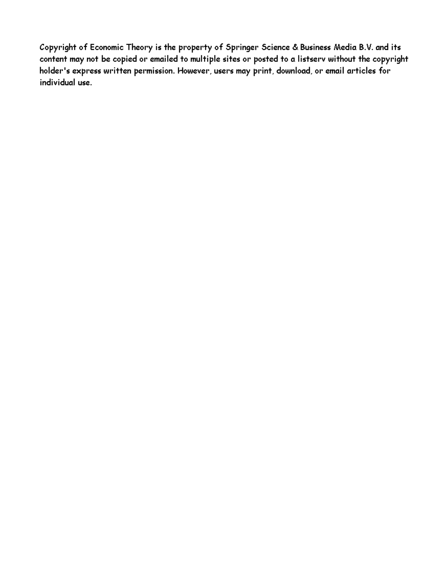Copyright of Economic Theory is the property of Springer Science & Business Media B.V. and its content may not be copied or emailed to multiple sites or posted to a listserv without the copyright holder's express written permission. However, users may print, download, or email articles for individual use.